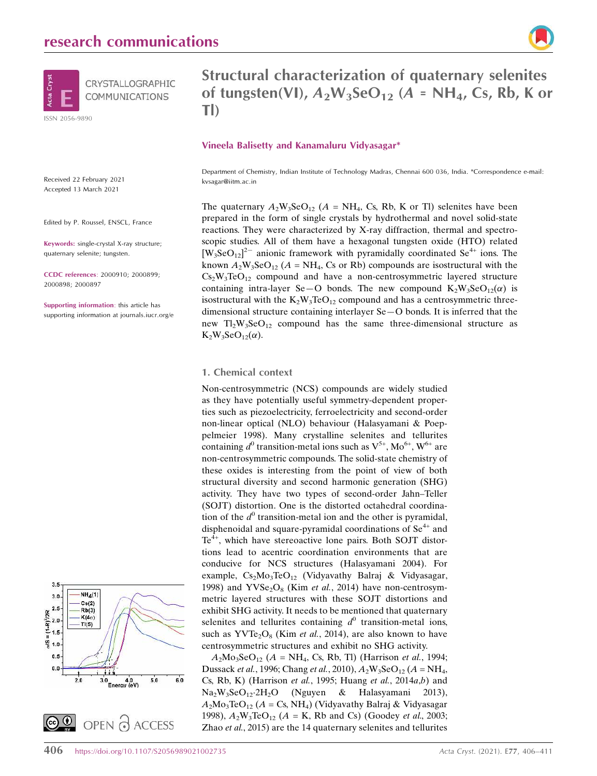

Received 22 February 2021 Accepted 13 March 2021

Edited by P. Roussel, ENSCL, France

Keywords: single-crystal X-ray structure; quaternary selenite; tungsten.

CCDC references: 2000910; 2000899; 2000898; 2000897

Supporting information: this article has supporting information at journals.iucr.org/e





# Structural characterization of quaternary selenites of tungsten(VI),  $A_2W_3SeO_{12}$  (A = NH<sub>4</sub>, Cs, Rb, K or Tl)

#### Vineela Balisetty and Kanamaluru Vidyasagar\*

Department of Chemistry, Indian Institute of Technology Madras, Chennai 600 036, India. \*Correspondence e-mail: kvsagar@iitm.ac.in

The quaternary  $A_2W_3SeO_{12}$  ( $A = NH_4$ , Cs, Rb, K or Tl) selenites have been prepared in the form of single crystals by hydrothermal and novel solid-state reactions. They were characterized by X-ray diffraction, thermal and spectroscopic studies. All of them have a hexagonal tungsten oxide (HTO) related  $[W_3$ SeO<sub>12</sub><sup>2-</sup> anionic framework with pyramidally coordinated Se<sup>4+</sup> ions. The known  $A_2W_3SeO_{12}$  ( $A = NH_4$ , Cs or Rb) compounds are isostructural with the  $Cs<sub>2</sub>W<sub>3</sub>TeO<sub>12</sub>$  compound and have a non-centrosymmetric layered structure containing intra-layer Se-O bonds. The new compound  $K_2W_3SeO_{12}(\alpha)$  is isostructural with the  $K_2W_3TeO_{12}$  compound and has a centrosymmetric threedimensional structure containing interlayer Se—O bonds. It is inferred that the new  $Tl_2W_3SeO_{12}$  compound has the same three-dimensional structure as  $K_2W_3SeO_{12}(\alpha)$ .

#### 1. Chemical context

Non-centrosymmetric (NCS) compounds are widely studied as they have potentially useful symmetry-dependent properties such as piezoelectricity, ferroelectricity and second-order non-linear optical (NLO) behaviour (Halasyamani & Poeppelmeier 1998). Many crystalline selenites and tellurites containing  $d^0$  transition-metal ions such as  $V^{5+}$ , Mo<sup>6+</sup>, W<sup>6+</sup> are non-centrosymmetric compounds. The solid-state chemistry of these oxides is interesting from the point of view of both structural diversity and second harmonic generation (SHG) activity. They have two types of second-order Jahn–Teller (SOJT) distortion. One is the distorted octahedral coordination of the  $d^0$  transition-metal ion and the other is pyramidal, disphenoidal and square-pyramidal coordinations of  $Se<sup>4+</sup>$  and  $Te<sup>4+</sup>$ , which have stereoactive lone pairs. Both SOJT distortions lead to acentric coordination environments that are conducive for NCS structures (Halasyamani 2004). For example,  $Cs<sub>2</sub>Mo<sub>3</sub>TeO<sub>12</sub>$  (Vidyavathy Balraj & Vidyasagar, 1998) and  $YVSe<sub>2</sub>O<sub>8</sub>$  (Kim et al., 2014) have non-centrosymmetric layered structures with these SOJT distortions and exhibit SHG activity. It needs to be mentioned that quaternary selenites and tellurites containing  $d^0$  transition-metal ions, such as  $YVTe<sub>2</sub>O<sub>8</sub>$  (Kim *et al.*, 2014), are also known to have centrosymmetric structures and exhibit no SHG activity.

 $A_2Mo_3SeO_{12}$   $(A = NH_4$ , Cs, Rb, Tl) (Harrison *et al.*, 1994; Dussack *et al.*, 1996; Chang *et al.*, 2010),  $A_2W_3SeO_{12}$  ( $A = NH_4$ , Cs, Rb, K) (Harrison et al., 1995; Huang et al., 2014a,b) and Na2W3SeO122H2O (Nguyen & Halasyamani 2013),  $A_2Mo_3TeO_{12}$  ( $A = Cs$ , NH<sub>4</sub>) (Vidyavathy Balraj & Vidyasagar 1998),  $A_2W_3TeO_{12}$  ( $A = K$ , Rb and Cs) (Goodey *et al.*, 2003; Zhao et al., 2015) are the 14 quaternary selenites and tellurites

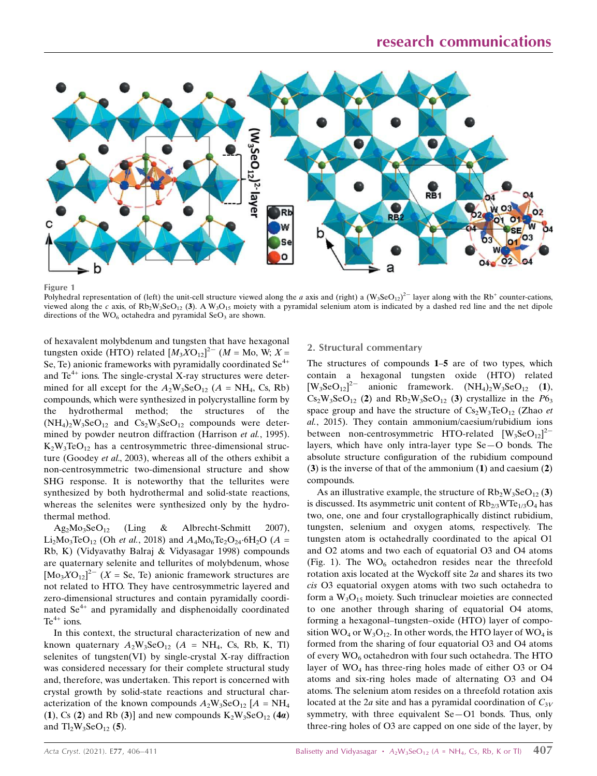

Figure 1

Polyhedral representation of (left) the unit-cell structure viewed along the a axis and (right) a  $(W_3SeO_{12})^2$  layer along with the Rb<sup>+</sup> counter-cations, viewed along the c axis, of  $Rb_2W_3SeO_{12}$  (3). A  $W_3O_{15}$  moiety with a pyramidal selenium atom is indicated by a dashed red line and the net dipole directions of the  $WO<sub>6</sub>$  octahedra and pyramidal Se $O<sub>3</sub>$  are shown.

of hexavalent molybdenum and tungsten that have hexagonal tungsten oxide (HTO) related  $[M_3XO_{12}]^2$ <sup>-</sup> (*M* = Mo, W; *X* = Se, Te) anionic frameworks with pyramidally coordinated  $Se^{4+}$ and  $Te^{4+}$  ions. The single-crystal X-ray structures were determined for all except for the  $A_2W_3SeO_{12}$  ( $A = NH_4$ , Cs, Rb) compounds, which were synthesized in polycrystalline form by the hydrothermal method; the structures of the  $(NH_4)_2W_3SeO_{12}$  and  $Cs_2W_3SeO_{12}$  compounds were determined by powder neutron diffraction (Harrison et al., 1995).  $K_2W_3TeO_{12}$  has a centrosymmetric three-dimensional structure (Goodey et al., 2003), whereas all of the others exhibit a non-centrosymmetric two-dimensional structure and show SHG response. It is noteworthy that the tellurites were synthesized by both hydrothermal and solid-state reactions, whereas the selenites were synthesized only by the hydrothermal method.

 $Ag_2Mo_3SeO_{12}$  (Ling & Albrecht-Schmitt 2007), Li<sub>2</sub>Mo<sub>3</sub>TeO<sub>12</sub> (Oh *et al.*, 2018) and  $A_4M_0T_2O_{24}·6H_2O$  (A = Rb, K) (Vidyavathy Balraj & Vidyasagar 1998) compounds are quaternary selenite and tellurites of molybdenum, whose  $[M_0XO_{12}]^2$ <sup>-</sup> (X = Se, Te) anionic framework structures are not related to HTO. They have centrosymmetric layered and zero-dimensional structures and contain pyramidally coordinated Se<sup>4+</sup> and pyramidally and disphenoidally coordinated  $Te^{4+}$  ions.

In this context, the structural characterization of new and known quaternary  $A_2W_3SeO_{12}$  ( $A = NH_4$ , Cs, Rb, K, Tl) selenites of tungsten(VI) by single-crystal X-ray diffraction was considered necessary for their complete structural study and, therefore, was undertaken. This report is concerned with crystal growth by solid-state reactions and structural characterization of the known compounds  $A_2W_3SeO_{12}$  [A = NH<sub>4</sub> (1), Cs (2) and Rb (3)] and new compounds  $K_2W_3SeO_{12}$  (4*a*) and  $Tl_2W_3SeO_{12}$  (5).

## 2. Structural commentary

The structures of compounds 1–5 are of two types, which contain a hexagonal tungsten oxide (HTO) related  $[W_3$ SeO<sub>12</sub>]<sup>2-</sup> anionic framework.  $(NH_4)_2W_3S$ eO<sub>12</sub> (1),  $Cs_2W_3SeO_{12}$  (2) and  $Rb_2W_3SeO_{12}$  (3) crystallize in the  $P6_3$ space group and have the structure of  $Cs<sub>2</sub>W<sub>3</sub>TeO<sub>12</sub>$  (Zhao *et* al., 2015). They contain ammonium/caesium/rubidium ions between non-centrosymmetric HTO-related  $[W_3$ SeO<sub>12</sub><sup>2-</sup> layers, which have only intra-layer type Se—O bonds. The absolute structure configuration of the rubidium compound (3) is the inverse of that of the ammonium (1) and caesium (2) compounds.

As an illustrative example, the structure of  $Rb_2W_3SeO_{12}(3)$ is discussed. Its asymmetric unit content of  $Rb_{2/3}WTe_{1/3}O_4$  has two, one, one and four crystallographically distinct rubidium, tungsten, selenium and oxygen atoms, respectively. The tungsten atom is octahedrally coordinated to the apical O1 and O2 atoms and two each of equatorial O3 and O4 atoms (Fig. 1). The  $WO<sub>6</sub>$  octahedron resides near the threefold rotation axis located at the Wyckoff site 2a and shares its two cis O3 equatorial oxygen atoms with two such octahedra to form a  $W_3O_{15}$  moiety. Such trinuclear moieties are connected to one another through sharing of equatorial O4 atoms, forming a hexagonal–tungsten–oxide (HTO) layer of composition  $WO_4$  or  $W_3O_{12}$ . In other words, the HTO layer of  $WO_4$  is formed from the sharing of four equatorial O3 and O4 atoms of every  $WO_6$  octahedron with four such octahedra. The HTO layer of  $WO_4$  has three-ring holes made of either O3 or O4 atoms and six-ring holes made of alternating O3 and O4 atoms. The selenium atom resides on a threefold rotation axis located at the 2a site and has a pyramidal coordination of  $C_{3V}$ symmetry, with three equivalent Se—O1 bonds. Thus, only three-ring holes of O3 are capped on one side of the layer, by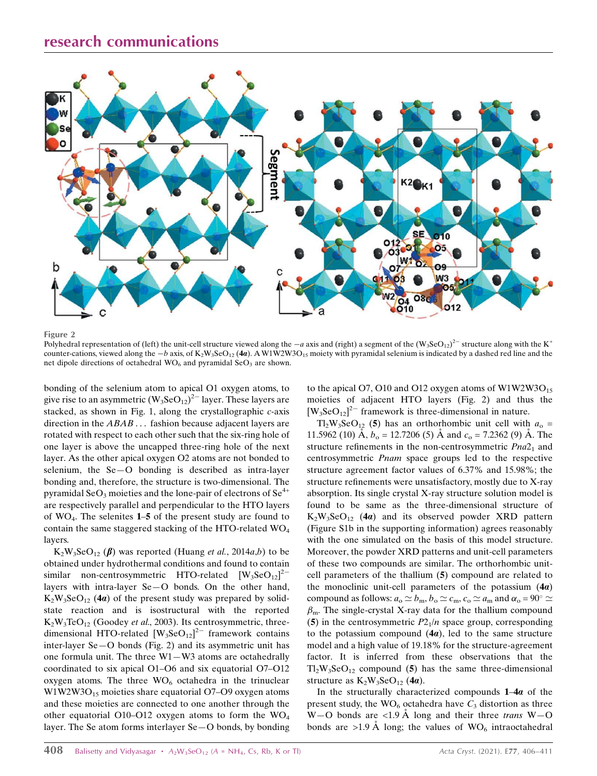# research communications



Figure 2

Polyhedral representation of (left) the unit-cell structure viewed along the  $-a$  axis and (right) a segment of the  $(W_3SeO_{12})^{2-}$  structure along with the K<sup>+</sup> counter-cations, viewed along the  $-b$  axis, of  $K_2W_3SeO_{12}$  (4a). A W1W2W3O<sub>15</sub> moiety with pyramidal selenium is indicated by a dashed red line and the net dipole directions of octahedral  $WO<sub>6</sub>$  and pyramidal  $SeO<sub>3</sub>$  are shown.

bonding of the selenium atom to apical O1 oxygen atoms, to give rise to an asymmetric  $(W_3$ Se $O_{12}$ <sup>2-</sup> layer. These layers are stacked, as shown in Fig. 1, along the crystallographic c-axis direction in the ABAB ... fashion because adjacent layers are rotated with respect to each other such that the six-ring hole of one layer is above the uncapped three-ring hole of the next layer. As the other apical oxygen O2 atoms are not bonded to selenium, the Se—O bonding is described as intra-layer bonding and, therefore, the structure is two-dimensional. The pyramidal  $SeO<sub>3</sub>$  moieties and the lone-pair of electrons of  $Se<sup>4+</sup>$ are respectively parallel and perpendicular to the HTO layers of WO<sup>4</sup> . The selenites 1–5 of the present study are found to contain the same staggered stacking of the HTO-related WO<sup>4</sup> layers.

 $K_2W_3SeO_{12} (\beta)$  was reported (Huang *et al.*, 2014*a*,*b*) to be obtained under hydrothermal conditions and found to contain similar non-centrosymmetric HTO-related  $[W_3$ SeO<sub>12</sub><sup>2-</sup> layers with intra-layer Se—O bonds. On the other hand,  $K_2W_3SeO_{12}$  (4*a*) of the present study was prepared by solidstate reaction and is isostructural with the reported  $K_2W_3TeO_{12}$  (Goodey et al., 2003). Its centrosymmetric, threedimensional HTO-related  $[W_3$ SeO<sub>12</sub><sup>2-</sup> framework contains inter-layer Se—O bonds (Fig. 2) and its asymmetric unit has one formula unit. The three W1—W3 atoms are octahedrally coordinated to six apical O1–O6 and six equatorial O7–O12 oxygen atoms. The three  $WO_6$  octahedra in the trinuclear W1W2W3O<sub>15</sub> moieties share equatorial O7–O9 oxygen atoms and these moieties are connected to one another through the other equatorial O10–O12 oxygen atoms to form the  $WO_4$ layer. The Se atom forms interlayer Se—O bonds, by bonding to the apical O7, O10 and O12 oxygen atoms of  $W1W2W3O_{15}$ moieties of adjacent HTO layers (Fig. 2) and thus the  $[W_3$ Se $O_{12}]^2$ <sup>-</sup> framework is three-dimensional in nature.

 $T_2W_3SeO_{12}$  (5) has an orthorhombic unit cell with  $a_0 =$ 11.5962 (10) Å,  $b_0 = 12.7206$  (5) Å and  $c_0 = 7.2362$  (9) Å. The structure refinements in the non-centrosymmetric  $Pna2<sub>1</sub>$  and centrosymmetric Pnam space groups led to the respective structure agreement factor values of 6.37% and 15.98%; the structure refinements were unsatisfactory, mostly due to X-ray absorption. Its single crystal X-ray structure solution model is found to be same as the three-dimensional structure of  $K_2W_3SeO_{12}$  (4*a*) and its observed powder XRD pattern (Figure S1b in the supporting information) agrees reasonably with the one simulated on the basis of this model structure. Moreover, the powder XRD patterns and unit-cell parameters of these two compounds are similar. The orthorhombic unitcell parameters of the thallium (5) compound are related to the monoclinic unit-cell parameters of the potassium  $(4a)$ compound as follows:  $a_0 \simeq b_m$ ,  $b_0 \simeq c_m$ ,  $c_0 \simeq a_m$  and  $\alpha_0 = 90^\circ \simeq$  $\beta$ <sub>m</sub>. The single-crystal X-ray data for the thallium compound (5) in the centrosymmetric  $P2_1/n$  space group, corresponding to the potassium compound  $(4a)$ , led to the same structure model and a high value of 19.18% for the structure-agreement factor. It is inferred from these observations that the  $Tl_2W_3SeO_{12}$  compound (5) has the same three-dimensional structure as  $K_2W_3SeO_{12}$  (4*a*).

In the structurally characterized compounds  $1-4a$  of the present study, the  $WO_6$  octahedra have  $C_3$  distortion as three W-O bonds are <1.9 Å long and their three trans W-O bonds are >1.9 Å long; the values of  $WO_6$  intraoctahedral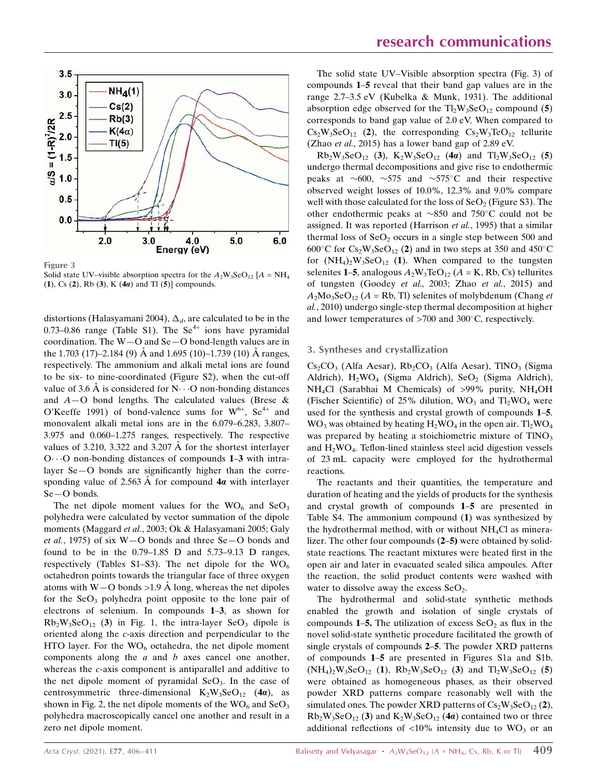

Figure 3

Solid state UV–visible absorption spectra for the  $A_2W_3SeO_{12}$  [ $A = NH_4$ (1), Cs (2), Rb (3), K (4 $a$ ) and Tl (5)] compounds.

distortions (Halasyamani 2004),  $\Delta_d$ , are calculated to be in the 0.73–0.86 range (Table S1). The  $Se^{4+}$  ions have pyramidal coordination. The W—O and Se—O bond-length values are in the 1.703 (17)–2.184 (9)  $\AA$  and 1.695 (10)–1.739 (10)  $\AA$  ranges, respectively. The ammonium and alkali metal ions are found to be six- to nine-coordinated (Figure S2), when the cut-off value of 3.6 Å is considered for  $N \cdot \cdot \cdot O$  non-bonding distances and  $A$  – O bond lengths. The calculated values (Brese & O'Keeffe 1991) of bond-valence sums for  $W^{6+}$ , Se<sup>4+</sup> and monovalent alkali metal ions are in the 6.079–6.283, 3.807– 3.975 and 0.060–1.275 ranges, respectively. The respective values of 3.210, 3.322 and 3.207  $\AA$  for the shortest interlayer  $O \cdots O$  non-bonding distances of compounds 1–3 with intralayer Se—O bonds are significantly higher than the corresponding value of 2.563  $\AA$  for compound 4*a* with interlayer Se—O bonds.

The net dipole moment values for the  $WO<sub>6</sub>$  and  $SeO<sub>3</sub>$ polyhedra were calculated by vector summation of the dipole moments (Maggard et al., 2003; Ok & Halasyamani 2005; Galy et al., 1975) of six  $W-O$  bonds and three Se $-O$  bonds and found to be in the 0.79–1.85 D and 5.73–9.13 D ranges, respectively (Tables S1–S3). The net dipole for the  $WO_6$ octahedron points towards the triangular face of three oxygen atoms with  $W - O$  bonds > 1.9 Å long, whereas the net dipoles for the  $SeO<sub>3</sub>$  polyhedra point opposite to the lone pair of electrons of selenium. In compounds 1–3, as shown for  $Rb_2W_3SeO_{12}$  (3) in Fig. 1, the intra-layer SeO<sub>3</sub> dipole is oriented along the c-axis direction and perpendicular to the HTO layer. For the  $WO<sub>6</sub>$  octahedra, the net dipole moment components along the  $a$  and  $b$  axes cancel one another, whereas the c-axis component is antiparallel and additive to the net dipole moment of pyramidal  $SeO<sub>3</sub>$ . In the case of centrosymmetric three-dimensional  $K_2W_3SeO_{12}$  (4*a*), as shown in Fig. 2, the net dipole moments of the  $WO_6$  and  $Seq_3$ polyhedra macroscopically cancel one another and result in a zero net dipole moment.

The solid state UV–Visible absorption spectra (Fig. 3) of compounds 1–5 reveal that their band gap values are in the range 2.7–3.5 eV (Kubelka & Munk, 1931). The additional absorption edge observed for the  $T_2W_3SeO_{12}$  compound (5) corresponds to band gap value of 2.0 eV. When compared to  $Cs_2W_3SeO_{12}$  (2), the corresponding  $Cs_2W_3TeO_{12}$  tellurite (Zhao et al., 2015) has a lower band gap of 2.89 eV.

 $Rb_2W_3SeO_{12}$  (3),  $K_2W_3SeO_{12}$  (4*a*) and  $Tl_2W_3SeO_{12}$  (5) undergo thermal decompositions and give rise to endothermic peaks at  $\sim 600$ ,  $\sim 575$  and  $\sim 575$ °C and their respective observed weight losses of 10.0%, 12.3% and 9.0% compare well with those calculated for the loss of  $SeO<sub>2</sub>$  (Figure S3). The other endothermic peaks at  $\sim 850$  and 750°C could not be assigned. It was reported (Harrison et al., 1995) that a similar thermal loss of  $SeO<sub>2</sub>$  occurs in a single step between 500 and 600°C for  $Cs_2W_3SeO_{12}$  (2) and in two steps at 350 and 450°C for  $(NH_4)_2W_3SeO_{12}$  (1). When compared to the tungsten selenites 1–5, analogous  $A_2W_3TeO_{12}$  ( $A = K$ , Rb, Cs) tellurites of tungsten (Goodey et al., 2003; Zhao et al., 2015) and  $A_2Mo_3SeO_{12}$  (A = Rb, Tl) selenites of molybdenum (Chang et al., 2010) undergo single-step thermal decomposition at higher and lower temperatures of  $>700$  and  $300^{\circ}$ C, respectively.

#### 3. Syntheses and crystallization

 $Cs_2CO_3$  (Alfa Aesar),  $Rb_2CO_3$  (Alfa Aesar), TlNO<sub>3</sub> (Sigma Aldrich),  $H_2WO_4$  (Sigma Aldrich), SeO<sub>2</sub> (Sigma Aldrich), NH<sub>4</sub>Cl (Sarabhai M Chemicals) of >99% purity, NH<sub>4</sub>OH (Fischer Scientific) of 25% dilution,  $WO_3$  and  $T_2WO_4$  were used for the synthesis and crystal growth of compounds 1–5.  $WO_3$  was obtained by heating  $H_2WO_4$  in the open air. Tl<sub>2</sub>WO<sub>4</sub> was prepared by heating a stoichiometric mixture of  $TINO<sub>3</sub>$ and H2WO<sup>4</sup> . Teflon-lined stainless steel acid digestion vessels of 23 mL capacity were employed for the hydrothermal reactions.

The reactants and their quantities, the temperature and duration of heating and the yields of products for the synthesis and crystal growth of compounds 1–5 are presented in Table S4. The ammonium compound (1) was synthesized by the hydrothermal method, with or without  $NH<sub>4</sub>Cl$  as mineralizer. The other four compounds (2–5) were obtained by solidstate reactions. The reactant mixtures were heated first in the open air and later in evacuated sealed silica ampoules. After the reaction, the solid product contents were washed with water to dissolve away the excess  $SeO<sub>2</sub>$ .

The hydrothermal and solid-state synthetic methods enabled the growth and isolation of single crystals of compounds 1–5. The utilization of excess  $SeO<sub>2</sub>$  as flux in the novel solid-state synthetic procedure facilitated the growth of single crystals of compounds 2–5. The powder XRD patterns of compounds 1–5 are presented in Figures S1a and S1b.  $(NH_4)_2W_3SeO_{12}$  (1),  $Rb_2W_3SeO_{12}$  (3) and  $Tl_2W_3SeO_{12}$  (5) were obtained as homogeneous phases, as their observed powder XRD patterns compare reasonably well with the simulated ones. The powder XRD patterns of  $Cs_2W_3SeO_{12}(2)$ ,  $Rb_2W_3SeO_{12}$  (3) and  $K_2W_3SeO_{12}$  (4*a*) contained two or three additional reflections of  $\langle 10\%$  intensity due to WO<sub>3</sub> or an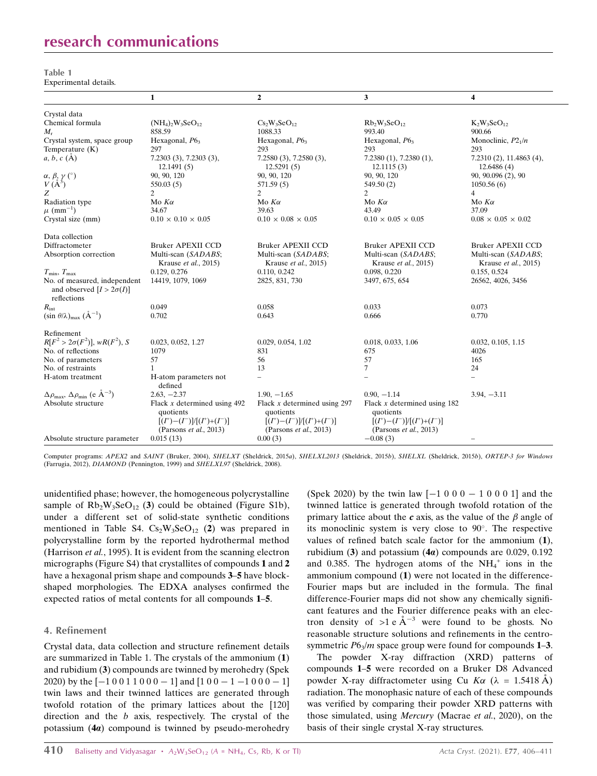# research communications

| Table 1               |  |
|-----------------------|--|
| Experimental details. |  |

|                                                                                | 1                                                                                                                | $\boldsymbol{2}$                                                                                            | 3                                                                                                                | 4                                            |
|--------------------------------------------------------------------------------|------------------------------------------------------------------------------------------------------------------|-------------------------------------------------------------------------------------------------------------|------------------------------------------------------------------------------------------------------------------|----------------------------------------------|
| Crystal data                                                                   |                                                                                                                  |                                                                                                             |                                                                                                                  |                                              |
| Chemical formula                                                               | $(NH_4)_2W_3SeO_{12}$                                                                                            | $Cs_2W_3SeO_{12}$                                                                                           | $Rb_2W_3SeO_{12}$                                                                                                | $K_2W_3SeO_{12}$                             |
| $M_{\rm r}$                                                                    | 858.59                                                                                                           | 1088.33                                                                                                     | 993.40                                                                                                           | 900.66                                       |
| Crystal system, space group                                                    | Hexagonal, $P63$                                                                                                 | Hexagonal, $P63$                                                                                            | Hexagonal, $P63$                                                                                                 | Monoclinic, $P2_1/n$                         |
| Temperature $(K)$                                                              | 297                                                                                                              | 293                                                                                                         | 293                                                                                                              | 293                                          |
| a, b, c(A)                                                                     | 7.2303(3), 7.2303(3),<br>12.1491(5)                                                                              | $7.2580(3)$ , $7.2580(3)$ ,<br>12.5291(5)                                                                   | $7.2380(1)$ , $7.2380(1)$ ,<br>12.1115(3)                                                                        | $7.2310(2)$ , 11.4863 $(4)$ ,<br>12.6486 (4) |
| $\alpha, \beta, \gamma$ (°)                                                    | 90, 90, 120                                                                                                      | 90, 90, 120                                                                                                 | 90, 90, 120                                                                                                      | 90, 90.096 (2), 90                           |
| $V(A^3)$                                                                       | 550.03(5)                                                                                                        | 571.59 (5)                                                                                                  | 549.50 (2)                                                                                                       | 1050.56(6)                                   |
| Z                                                                              | 2                                                                                                                | 2                                                                                                           | 2                                                                                                                | 4                                            |
| Radiation type                                                                 | Mo $K\alpha$                                                                                                     | Mo $K\alpha$                                                                                                | Mo $K\alpha$                                                                                                     | Mo $K\alpha$                                 |
| $\mu$ (mm <sup>-1</sup> )                                                      | 34.67                                                                                                            | 39.63                                                                                                       | 43.49                                                                                                            | 37.09                                        |
| Crystal size (mm)                                                              | $0.10 \times 0.10 \times 0.05$                                                                                   | $0.10 \times 0.08 \times 0.05$                                                                              | $0.10 \times 0.05 \times 0.05$                                                                                   | $0.08 \times 0.05 \times 0.02$               |
| Data collection                                                                |                                                                                                                  |                                                                                                             |                                                                                                                  |                                              |
| Diffractometer                                                                 | <b>Bruker APEXII CCD</b>                                                                                         | <b>Bruker APEXII CCD</b>                                                                                    | <b>Bruker APEXII CCD</b>                                                                                         | <b>Bruker APEXII CCD</b>                     |
| Absorption correction                                                          | Multi-scan (SADABS;<br>Krause et al., 2015)                                                                      | Multi-scan (SADABS;<br>Krause et al., 2015)                                                                 | Multi-scan (SADABS;<br>Krause et al., 2015)                                                                      | Multi-scan (SADABS;<br>Krause et al., 2015)  |
| $T_{\min}, T_{\max}$                                                           | 0.129, 0.276                                                                                                     | 0.110, 0.242                                                                                                | 0.098, 0.220                                                                                                     | 0.155, 0.524                                 |
| No. of measured, independent<br>and observed $[I > 2\sigma(I)]$<br>reflections | 14419, 1079, 1069                                                                                                | 2825, 831, 730                                                                                              | 3497, 675, 654                                                                                                   | 26562, 4026, 3456                            |
| $R_{\rm int}$                                                                  | 0.049                                                                                                            | 0.058                                                                                                       | 0.033                                                                                                            | 0.073                                        |
| $(\sin \theta/\lambda)_{\text{max}}$ $(\AA^{-1})$                              | 0.702                                                                                                            | 0.643                                                                                                       | 0.666                                                                                                            | 0.770                                        |
| Refinement                                                                     |                                                                                                                  |                                                                                                             |                                                                                                                  |                                              |
| $R[F^2 > 2\sigma(F^2)], wR(F^2), S$                                            | 0.023, 0.052, 1.27                                                                                               | 0.029, 0.054, 1.02                                                                                          | 0.018, 0.033, 1.06                                                                                               | 0.032, 0.105, 1.15                           |
| No. of reflections                                                             | 1079                                                                                                             | 831                                                                                                         | 675                                                                                                              | 4026                                         |
| No. of parameters                                                              | 57                                                                                                               | 56                                                                                                          | 57                                                                                                               | 165                                          |
| No. of restraints                                                              | $\mathbf{1}$                                                                                                     | 13                                                                                                          | $\tau$                                                                                                           | 24                                           |
| H-atom treatment                                                               | H-atom parameters not<br>defined                                                                                 |                                                                                                             |                                                                                                                  | $\overline{\phantom{0}}$                     |
| $\Delta \rho_{\text{max}}$ , $\Delta \rho_{\text{min}}$ (e $\AA^{-3}$ )        | $2.63, -2.37$                                                                                                    | $1.90, -1.65$                                                                                               | $0.90, -1.14$                                                                                                    | $3.94, -3.11$                                |
| Absolute structure                                                             | Flack $x$ determined using 492<br>quotients<br>$[(I^+)- (I^-)]/[(I^+)+ (I^-)]$<br>(Parsons <i>et al.</i> , 2013) | Flack $x$ determined using 297<br>quotients<br>$[(I^+)- (I^-)]/[(I^+)+ (I^-)]$<br>(Parsons $et al., 2013$ ) | Flack $x$ determined using 182<br>quotients<br>$[(I^+)- (I^-)]/[(I^+)+ (I^-)]$<br>(Parsons <i>et al.</i> , 2013) |                                              |
| Absolute structure parameter                                                   | 0.015(13)                                                                                                        | 0.00(3)                                                                                                     | $-0.08(3)$                                                                                                       | $\overline{\phantom{0}}$                     |

Computer programs: APEX2 and SAINT (Bruker, 2004), SHELXT (Sheldrick, 2015a), SHELXL2013 (Sheldrick, 2015b), SHELXL (Sheldrick, 2015b), ORTEP-3 for Windows (Farrugia, 2012), DIAMOND (Pennington, 1999) and SHELXL97 (Sheldrick, 2008).

unidentified phase; however, the homogeneous polycrystalline sample of  $Rb_2W_3SeO_{12}$  (3) could be obtained (Figure S1b), under a different set of solid-state synthetic conditions mentioned in Table S4.  $Cs_2W_3SeO_{12}$  (2) was prepared in polycrystalline form by the reported hydrothermal method (Harrison et al., 1995). It is evident from the scanning electron micrographs (Figure S4) that crystallites of compounds 1 and 2 have a hexagonal prism shape and compounds 3–5 have blockshaped morphologies. The EDXA analyses confirmed the expected ratios of metal contents for all compounds 1–5.

#### 4. Refinement

Crystal data, data collection and structure refinement details are summarized in Table 1. The crystals of the ammonium (1) and rubidium (3) compounds are twinned by merohedry (Spek 2020) by the  $[-10011000 - 1]$  and  $[100 - 1 - 1000 - 1]$ twin laws and their twinned lattices are generated through twofold rotation of the primary lattices about the [120] direction and the b axis, respectively. The crystal of the potassium  $(4a)$  compound is twinned by pseudo-merohedry

(Spek 2020) by the twin law  $[-1 0 0 0 - 1 0 0 0 1]$  and the twinned lattice is generated through twofold rotation of the primary lattice about the c axis, as the value of the  $\beta$  angle of its monoclinic system is very close to 90 . The respective values of refined batch scale factor for the ammonium (1), rubidium (3) and potassium  $(4a)$  compounds are 0.029, 0.192 and 0.385. The hydrogen atoms of the  $NH_4^+$  ions in the ammonium compound (1) were not located in the difference-Fourier maps but are included in the formula. The final difference-Fourier maps did not show any chemically significant features and the Fourier difference peaks with an electron density of  $>1 e \mathring{A}^{-3}$  were found to be ghosts. No reasonable structure solutions and refinements in the centrosymmetric  $P6_3/m$  space group were found for compounds  $1-3$ .

The powder X-ray diffraction (XRD) patterns of compounds 1–5 were recorded on a Bruker D8 Advanced powder X-ray diffractometer using Cu  $K\alpha$  ( $\lambda = 1.5418 \text{ Å}$ ) radiation. The monophasic nature of each of these compounds was verified by comparing their powder XRD patterns with those simulated, using Mercury (Macrae et al., 2020), on the basis of their single crystal X-ray structures.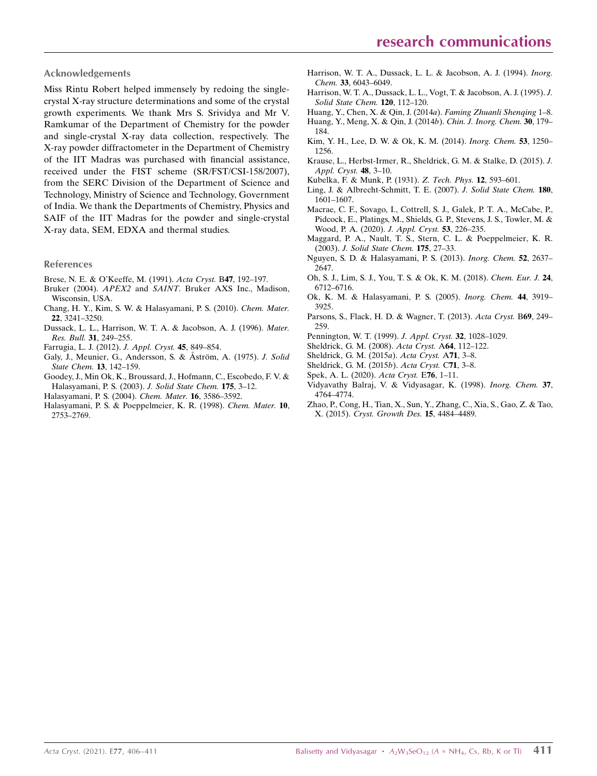#### Acknowledgements

Miss Rintu Robert helped immensely by redoing the singlecrystal X-ray structure determinations and some of the crystal growth experiments. We thank Mrs S. Srividya and Mr V. Ramkumar of the Department of Chemistry for the powder and single-crystal X-ray data collection, respectively. The X-ray powder diffractometer in the Department of Chemistry of the IIT Madras was purchased with financial assistance, received under the FIST scheme (SR/FST/CSI-158/2007), from the SERC Division of the Department of Science and Technology, Ministry of Science and Technology, Government of India. We thank the Departments of Chemistry, Physics and SAIF of the IIT Madras for the powder and single-crystal X-ray data, SEM, EDXA and thermal studies.

#### References

- Brese, N. E. & O'Keeffe, M. (1991). Acta Cryst. B47, 192–197.
- Bruker (2004). APEX2 and SAINT. Bruker AXS Inc., Madison, Wisconsin, USA.
- Chang, H. Y., Kim, S. W. & Halasyamani, P. S. (2010). Chem. Mater. 22, 3241–3250.
- Dussack, L. L., Harrison, W. T. A. & Jacobson, A. J. (1996). Mater. Res. Bull. 31, 249–255.
- Farrugia, L. J. (2012). J. Appl. Cryst. 45, 849–854.
- Galy, J., Meunier, G., Andersson, S. & Åström, A. (1975). J. Solid State Chem. 13, 142–159.
- Goodey, J., Min Ok, K., Broussard, J., Hofmann, C., Escobedo, F. V. & Halasyamani, P. S. (2003). J. Solid State Chem. 175, 3–12.
- Halasyamani, P. S. (2004). Chem. Mater. 16, 3586–3592.
- Halasyamani, P. S. & Poeppelmeier, K. R. (1998). Chem. Mater. 10, 2753–2769.
- Harrison, W. T. A., Dussack, L. L. & Jacobson, A. J. (1994). Inorg. Chem. 33, 6043–6049.
- Harrison, W. T. A., Dussack, L. L., Vogt, T. & Jacobson, A. J. (1995). J. Solid State Chem. 120, 112–120.
- Huang, Y., Chen, X. & Qin, J. (2014a). Faming Zhuanli Shenqing 1–8. Huang, Y., Meng, X. & Qin, J. (2014b). Chin. J. Inorg. Chem. 30, 179– 184.
- Kim, Y. H., Lee, D. W. & Ok, K. M. (2014). Inorg. Chem. 53, 1250– 1256.
- Krause, L., Herbst-Irmer, R., Sheldrick, G. M. & Stalke, D. (2015). J. Appl. Cryst. 48, 3–10.
- Kubelka, F. & Munk, P. (1931). Z. Tech. Phys. 12, 593–601.
- Ling, J. & Albrecht-Schmitt, T. E. (2007). J. Solid State Chem. 180, 1601–1607.
- Macrae, C. F., Sovago, I., Cottrell, S. J., Galek, P. T. A., McCabe, P., Pidcock, E., Platings, M., Shields, G. P., Stevens, J. S., Towler, M. & Wood, P. A. (2020). J. Appl. Cryst. 53, 226–235.
- Maggard, P. A., Nault, T. S., Stern, C. L. & Poeppelmeier, K. R. (2003). J. Solid State Chem. 175, 27–33.
- Nguyen, S. D. & Halasyamani, P. S. (2013). Inorg. Chem. 52, 2637– 2647.
- Oh, S. J., Lim, S. J., You, T. S. & Ok, K. M. (2018). Chem. Eur. J. 24, 6712–6716.
- Ok, K. M. & Halasyamani, P. S. (2005). Inorg. Chem. 44, 3919– 3925.
- Parsons, S., Flack, H. D. & Wagner, T. (2013). Acta Cryst. B69, 249– 259.
- Pennington, W. T. (1999). J. Appl. Cryst. 32, 1028–1029.
- Sheldrick, G. M. (2008). Acta Cryst. A64, 112–122.
- Sheldrick, G. M. (2015a). Acta Cryst. A71, 3–8.
- Sheldrick, G. M. (2015b). Acta Cryst. C71, 3–8.
- Spek, A. L. (2020). Acta Cryst. E76, 1–11.
- Vidyavathy Balraj, V. & Vidyasagar, K. (1998). Inorg. Chem. 37, 4764–4774.
- Zhao, P., Cong, H., Tian, X., Sun, Y., Zhang, C., Xia, S., Gao, Z. & Tao, X. (2015). Cryst. Growth Des. 15, 4484–4489.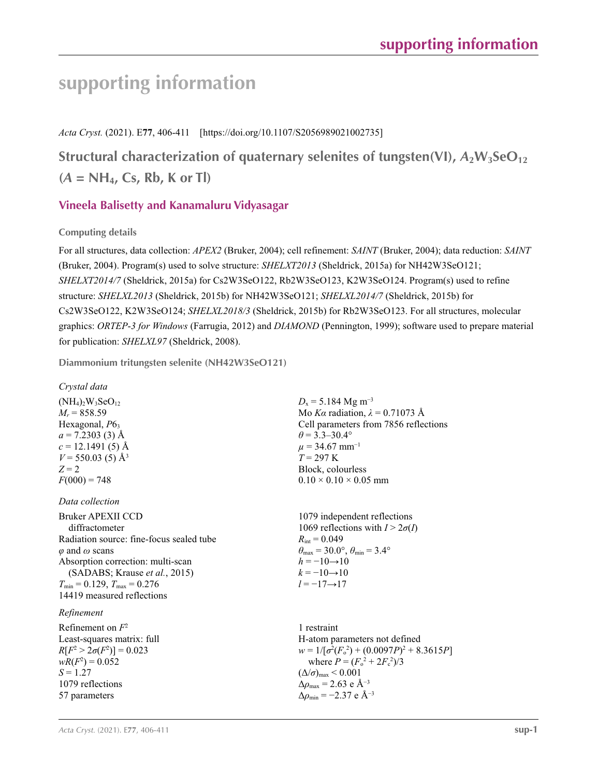*Acta Cryst.* (2021). E**77**, 406-411 [https://doi.org/10.1107/S2056989021002735]

**Structural characterization of quaternary selenites of tungsten(VI),** *A***2W3SeO<sup>12</sup> (***A* **= NH4, Cs, Rb, K or Tl)**

# **Vineela Balisetty and Kanamaluru Vidyasagar**

**Computing details** 

For all structures, data collection: *APEX2* (Bruker, 2004); cell refinement: *SAINT* (Bruker, 2004); data reduction: *SAINT* (Bruker, 2004). Program(s) used to solve structure: *SHELXT2013* (Sheldrick, 2015a) for NH42W3SeO121; *SHELXT2014/7* (Sheldrick, 2015a) for Cs2W3SeO122, Rb2W3SeO123, K2W3SeO124. Program(s) used to refine structure: *SHELXL2013* (Sheldrick, 2015b) for NH42W3SeO121; *SHELXL2014/7* (Sheldrick, 2015b) for Cs2W3SeO122, K2W3SeO124; *SHELXL2018/3* (Sheldrick, 2015b) for Rb2W3SeO123. For all structures, molecular graphics: *ORTEP*-*3 for Windows* (Farrugia, 2012) and *DIAMOND* (Pennington, 1999); software used to prepare material for publication: *SHELXL97* (Sheldrick, 2008).

**Diammonium tritungsten selenite (NH42W3SeO121)** 

## *Crystal data*

 $(NH_4)_2W_3SeO_{12}$  $M_r = 858.59$ Hexagonal,  $P6<sub>3</sub>$  $a = 7.2303$  (3) Å  $c = 12.1491(5)$  Å  $V = 550.03$  (5) Å<sup>3</sup>  $Z = 2$  $F(000) = 748$ 

*Data collection*

Bruker APEXII CCD diffractometer Radiation source: fine-focus sealed tube *φ* and *ω* scans Absorption correction: multi-scan (SADABS; Krause *et al.*, 2015)  $T_{\text{min}} = 0.129, T_{\text{max}} = 0.276$ 14419 measured reflections

## *Refinement*

Refinement on *F* 2 Least-squares matrix: full  $R[F^2 > 2\sigma(F^2)] = 0.023$  $wR(F^2) = 0.052$  $S = 1.27$ 1079 reflections 57 parameters

 $D_x$  = 5.184 Mg m<sup>-3</sup> Mo *Kα* radiation,  $\lambda = 0.71073$  Å Cell parameters from 7856 reflections  $\theta$  = 3.3–30.4°  $\mu$  = 34.67 mm<sup>-1</sup>  $T = 297$  K Block, colourless  $0.10 \times 0.10 \times 0.05$  mm

1079 independent reflections 1069 reflections with  $I > 2\sigma(I)$  $R_{\text{int}} = 0.049$  $\theta_{\text{max}} = 30.0^{\circ}, \theta_{\text{min}} = 3.4^{\circ}$  $h = -10 \rightarrow 10$  $k = -10 \rightarrow 10$ *l* = −17→17

1 restraint H-atom parameters not defined  $w = 1/[\sigma^2 (F_o^2) + (0.0097P)^2 + 8.3615P]$ where  $P = (F_o^2 + 2F_c^2)/3$  $(\Delta/\sigma)_{\text{max}}$  < 0.001 Δ*ρ*max = 2.63 e Å−3  $\Delta\rho_{\rm min} = -2.37 \text{ e A}^{-3}$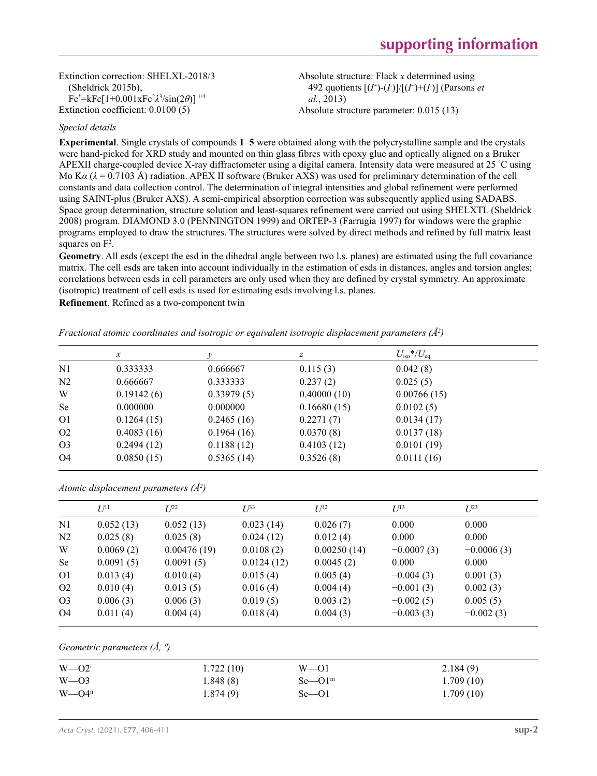Extinction correction: SHELXL-2018/3 (Sheldrick 2015b), Fc\*=kFc[1+0.001xFc<sup>2</sup> *λ* 3 /sin(2*θ*)]-1/4 Extinction coefficient: 0.0100 (5)

Absolute structure: Flack *x* determined using 492 quotients  $[(I^+)- (I^+)]/[(I^+)+ (I^-)]$  (Parsons *et al.*, 2013)

Absolute structure parameter: 0.015 (13)

### *Special details*

**Experimental**. Single crystals of compounds **1**–**5** were obtained along with the polycrystalline sample and the crystals were hand-picked for XRD study and mounted on thin glass fibres with epoxy glue and optically aligned on a Bruker APEXII charge-coupled device X-ray diffractometer using a digital camera. Intensity data were measured at 25 °C using Mo K*α* (*λ* = 0.7103 Å) radiation. APEX II software (Bruker AXS) was used for preliminary determination of the cell constants and data collection control. The determination of integral intensities and global refinement were performed using SAINT-plus (Bruker AXS). A semi-empirical absorption correction was subsequently applied using SADABS. Space group determination, structure solution and least-squares refinement were carried out using SHELXTL (Sheldrick 2008) program. DIAMOND 3.0 (PENNINGTON 1999) and ORTEP-3 (Farrugia 1997) for windows were the graphic programs employed to draw the structures. The structures were solved by direct methods and refined by full matrix least squares on  $F^2$ .

**Geometry**. All esds (except the esd in the dihedral angle between two l.s. planes) are estimated using the full covariance matrix. The cell esds are taken into account individually in the estimation of esds in distances, angles and torsion angles; correlations between esds in cell parameters are only used when they are defined by crystal symmetry. An approximate (isotropic) treatment of cell esds is used for estimating esds involving l.s. planes.

**Refinement**. Refined as a two-component twin

|                | $\boldsymbol{x}$ | v          | Ζ           | $U_{\rm iso} * / U_{\rm eq}$ |  |
|----------------|------------------|------------|-------------|------------------------------|--|
| N1             | 0.333333         | 0.666667   | 0.115(3)    | 0.042(8)                     |  |
| N <sub>2</sub> | 0.666667         | 0.333333   | 0.237(2)    | 0.025(5)                     |  |
| W              | 0.19142(6)       | 0.33979(5) | 0.40000(10) | 0.00766(15)                  |  |
| Se             | 0.000000         | 0.000000   | 0.16680(15) | 0.0102(5)                    |  |
| O <sub>1</sub> | 0.1264(15)       | 0.2465(16) | 0.2271(7)   | 0.0134(17)                   |  |
| O <sub>2</sub> | 0.4083(16)       | 0.1964(16) | 0.0370(8)   | 0.0137(18)                   |  |
| O <sub>3</sub> | 0.2494(12)       | 0.1188(12) | 0.4103(12)  | 0.0101(19)                   |  |
| O <sub>4</sub> | 0.0850(15)       | 0.5365(14) | 0.3526(8)   | 0.0111(16)                   |  |

*Fractional atomic coordinates and isotropic or equivalent isotropic displacement parameters (Å<sup>2</sup> )*

|  |  |  | Atomic displacement parameters $(\AA^2)$ |  |
|--|--|--|------------------------------------------|--|
|--|--|--|------------------------------------------|--|

|                | $U^{11}$  | $I/2^2$     | $I^{\beta 3}$ | $U^{12}$    | $U^{13}$     | $U^{23}$     |
|----------------|-----------|-------------|---------------|-------------|--------------|--------------|
| N <sub>1</sub> | 0.052(13) | 0.052(13)   | 0.023(14)     | 0.026(7)    | 0.000        | 0.000        |
| N <sub>2</sub> | 0.025(8)  | 0.025(8)    | 0.024(12)     | 0.012(4)    | 0.000        | 0.000        |
| W              | 0.0069(2) | 0.00476(19) | 0.0108(2)     | 0.00250(14) | $-0.0007(3)$ | $-0.0006(3)$ |
| <b>Se</b>      | 0.0091(5) | 0.0091(5)   | 0.0124(12)    | 0.0045(2)   | 0.000        | 0.000        |
| O <sub>1</sub> | 0.013(4)  | 0.010(4)    | 0.015(4)      | 0.005(4)    | $-0.004(3)$  | 0.001(3)     |
| O <sub>2</sub> | 0.010(4)  | 0.013(5)    | 0.016(4)      | 0.004(4)    | $-0.001(3)$  | 0.002(3)     |
| O <sub>3</sub> | 0.006(3)  | 0.006(3)    | 0.019(5)      | 0.003(2)    | $-0.002(5)$  | 0.005(5)     |
| O4             | 0.011(4)  | 0.004(4)    | 0.018(4)      | 0.004(3)    | $-0.003(3)$  | $-0.002(3)$  |
|                |           |             |               |             |              |              |

### *Geometric parameters (Å, º)*

| $W = Q^i$              | 1.722(10) | $W = 01$                   | 2.184(9)  |
|------------------------|-----------|----------------------------|-----------|
| $W = 03$               | 1.848(8)  | $Se$ — $O1$ <sup>iii</sup> | 1.709(10) |
| $W = Q4$ <sup>ii</sup> | 1.874(9)  | $Se$ — $O1$                | 1.709(10) |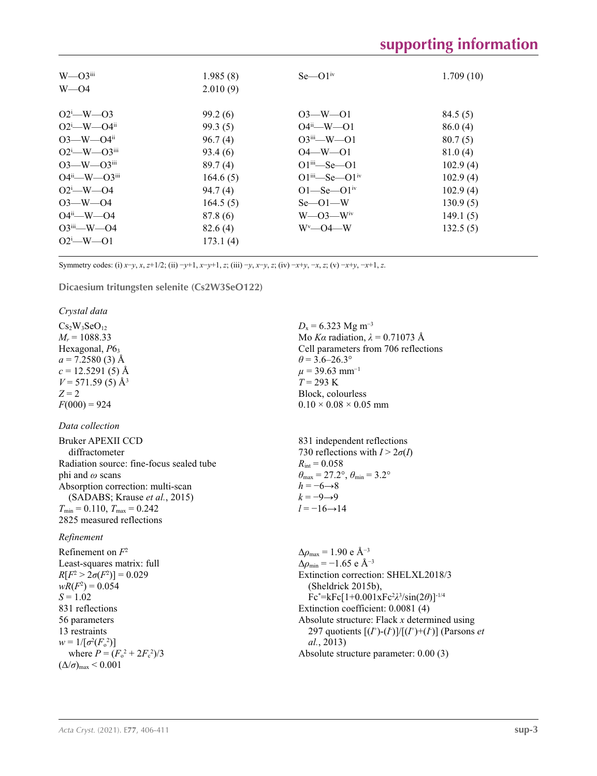| $W$ — $O3$ <sup>iii</sup><br>$W = 04$                                                                                                                                                                                                                   | 1.985(8)<br>2.010(9)                                                                                                      | $Se$ — $O1iv$                                                                                                                                                                                                                    | 1.709(10)                                                                                                        |
|---------------------------------------------------------------------------------------------------------------------------------------------------------------------------------------------------------------------------------------------------------|---------------------------------------------------------------------------------------------------------------------------|----------------------------------------------------------------------------------------------------------------------------------------------------------------------------------------------------------------------------------|------------------------------------------------------------------------------------------------------------------|
| $O2^i$ -W-03<br>$O2^i$ —W—O4 <sup>ii</sup><br>$O3$ —W— $O4$ <sup>ii</sup><br>$O2^i$ —W— $O3^{iii}$<br>$O3$ —W— $O3$ <sup>iii</sup><br>$O4^{ii}$ —W— $O3^{iii}$<br>$O2^i$ – W–04<br>$O3 - W - O4$<br>$O4^{ii}$ —W—O4<br>$O3^{iii}$ —W—O4<br>$O2^i$ -W-01 | 99.2(6)<br>99.3(5)<br>96.7(4)<br>93.4(6)<br>89.7(4)<br>164.6(5)<br>94.7(4)<br>164.5(5)<br>87.8 (6)<br>82.6(4)<br>173.1(4) | $O3 - W - O1$<br>$O4^{ii}$ —W— $O1$<br>$O3^{iii}$ —W—O1<br>$O4 - W - O1$<br>$O1$ <sup>iii</sup> —Se—O1<br>$O1^{iii}$ Se $O1^{iv}$<br>$O1 - Se - O1$ <sup>iv</sup><br>$Se$ — $O1$ —W<br>$W$ —O3— $W$ <sup>iv</sup><br>$W^v$ —O4—W | 84.5(5)<br>86.0(4)<br>80.7(5)<br>81.0(4)<br>102.9(4)<br>102.9(4)<br>102.9(4)<br>130.9(5)<br>149.1(5)<br>132.5(5) |

Symmetry codes: (i)  $x-y$ ,  $x$ ,  $z+1/2$ ; (ii)  $-y+1$ ,  $x-y+1$ ,  $z$ ; (iii)  $-y$ ,  $x-y$ ,  $z$ ; (iv)  $-x+y$ ,  $-x$ ,  $z$ ; (v)  $-x+y$ ,  $-x+1$ ,  $z$ .

**Dicaesium tritungsten selenite (Cs2W3SeO122)** 

*Crystal data*

 $Cs<sub>2</sub>W<sub>3</sub>SeO<sub>12</sub>$  $M_r = 1088.33$ Hexagonal,  $P6<sub>3</sub>$  $a = 7.2580(3)$  Å  $c = 12.5291(5)$  Å  $V = 571.59(5)$  Å<sup>3</sup>  $Z = 2$  $F(000) = 924$ 

#### *Data collection*

| Bruker APEXII CCD                                   |
|-----------------------------------------------------|
| diffractometer                                      |
| Radiation source: fine-focus sealed tube            |
| phi and $\omega$ scans                              |
| Absorption correction: multi-scan                   |
| (SADABS; Krause et al., 2015)                       |
| $T_{\text{min}} = 0.110$ , $T_{\text{max}} = 0.242$ |
| 2825 measured reflections                           |

#### *Refinement*

Refinement on *F* 2 Least-squares matrix: full  $R[F^2 > 2\sigma(F^2)] = 0.029$  $wR(F^2) = 0.054$  $S = 1.02$ 831 reflections 56 parameters 13 restraints  $w = 1/[\sigma^2 (F_0^2)]$ where  $P = (F_o^2 + 2F_c^2)/3$  $(\Delta/\sigma)_{\text{max}}$  < 0.001

 $D_x = 6.323$  Mg m<sup>-3</sup> Mo *Kα* radiation, *λ* = 0.71073 Å Cell parameters from 706 reflections  $\theta$  = 3.6–26.3°  $\mu$  = 39.63 mm<sup>-1</sup> *T* = 293 K Block, colourless  $0.10 \times 0.08 \times 0.05$  mm

831 independent reflections 730 reflections with  $I > 2\sigma(I)$  $R_{\text{int}} = 0.058$  $\theta_{\text{max}} = 27.2^{\circ}, \theta_{\text{min}} = 3.2^{\circ}$  $h = -6 \rightarrow 8$  $k = -9 \rightarrow 9$  $l = -16 \rightarrow 14$ 

 $\Delta\rho_{\text{max}} = 1.90 \text{ e A}^{-3}$ Δ*ρ*min = −1.65 e Å−3 Extinction correction: SHELXL2018/3 (Sheldrick 2015b), Fc\*=kFc[1+0.001xFc<sup>2</sup> *λ* 3 /sin(2*θ*)]-1/4 Extinction coefficient: 0.0081 (4) Absolute structure: Flack *x* determined using 297 quotients  $[(I^+)- (I^+)]/[(I^+)+ (I^-)]$  (Parsons *et al.*, 2013) Absolute structure parameter: 0.00 (3)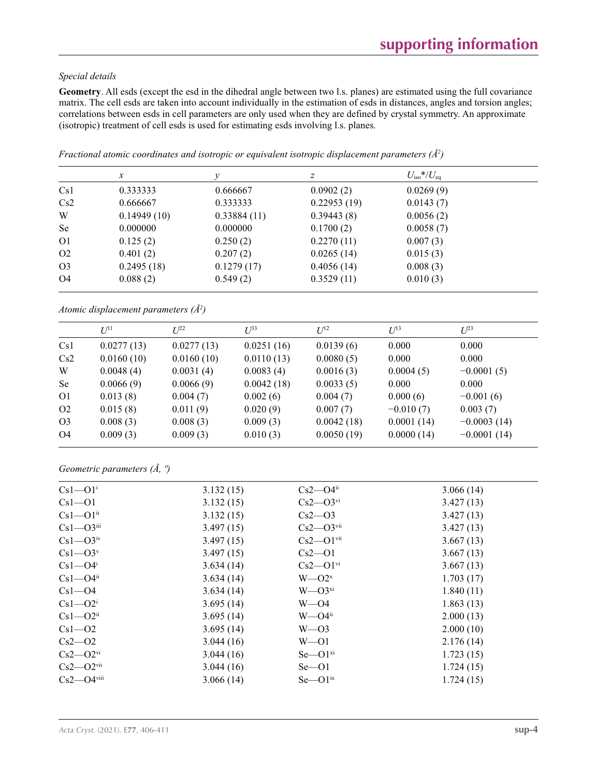## *Special details*

**Geometry**. All esds (except the esd in the dihedral angle between two l.s. planes) are estimated using the full covariance matrix. The cell esds are taken into account individually in the estimation of esds in distances, angles and torsion angles; correlations between esds in cell parameters are only used when they are defined by crystal symmetry. An approximate (isotropic) treatment of cell esds is used for estimating esds involving l.s. planes.

|                | $\mathcal{X}$ | ν           | Ζ           | $U_{\rm iso} * / U_{\rm eq}$ |  |
|----------------|---------------|-------------|-------------|------------------------------|--|
| Cs1            | 0.333333      | 0.666667    | 0.0902(2)   | 0.0269(9)                    |  |
| Cs2            | 0.666667      | 0.333333    | 0.22953(19) | 0.0143(7)                    |  |
| W              | 0.14949(10)   | 0.33884(11) | 0.39443(8)  | 0.0056(2)                    |  |
| <b>Se</b>      | 0.000000      | 0.000000    | 0.1700(2)   | 0.0058(7)                    |  |
| O <sub>1</sub> | 0.125(2)      | 0.250(2)    | 0.2270(11)  | 0.007(3)                     |  |
| O <sub>2</sub> | 0.401(2)      | 0.207(2)    | 0.0265(14)  | 0.015(3)                     |  |
| O <sub>3</sub> | 0.2495(18)    | 0.1279(17)  | 0.4056(14)  | 0.008(3)                     |  |
| O4             | 0.088(2)      | 0.549(2)    | 0.3529(11)  | 0.010(3)                     |  |

*Fractional atomic coordinates and isotropic or equivalent isotropic displacement parameters (Å<sup>2</sup> )*

*Atomic displacement parameters (Å<sup>2</sup> )*

|                | $I$ <sup><math>\uparrow</math>1</sup> | $L^{p2}$   | $U^{33}$   | $U^{12}$   | $U^{13}$    | $U^{23}$      |
|----------------|---------------------------------------|------------|------------|------------|-------------|---------------|
| Cs1            | 0.0277(13)                            | 0.0277(13) | 0.0251(16) | 0.0139(6)  | 0.000       | 0.000         |
| Cs2            | 0.0160(10)                            | 0.0160(10) | 0.0110(13) | 0.0080(5)  | 0.000       | 0.000         |
| W              | 0.0048(4)                             | 0.0031(4)  | 0.0083(4)  | 0.0016(3)  | 0.0004(5)   | $-0.0001(5)$  |
| <b>Se</b>      | 0.0066(9)                             | 0.0066(9)  | 0.0042(18) | 0.0033(5)  | 0.000       | 0.000         |
| O <sub>1</sub> | 0.013(8)                              | 0.004(7)   | 0.002(6)   | 0.004(7)   | 0.000(6)    | $-0.001(6)$   |
| O <sub>2</sub> | 0.015(8)                              | 0.011(9)   | 0.020(9)   | 0.007(7)   | $-0.010(7)$ | 0.003(7)      |
| O <sub>3</sub> | 0.008(3)                              | 0.008(3)   | 0.009(3)   | 0.0042(18) | 0.0001(14)  | $-0.0003(14)$ |
| O <sub>4</sub> | 0.009(3)                              | 0.009(3)   | 0.010(3)   | 0.0050(19) | 0.0000(14)  | $-0.0001(14)$ |

*Geometric parameters (Å, º)*

| $Cs1 - O1i$                | 3.132(15) | $Cs2 - O4ii$               | 3.066(14) |
|----------------------------|-----------|----------------------------|-----------|
| $Cs1 - O1$                 | 3.132(15) | $Cs2$ — $O3$ <sup>vi</sup> | 3.427(13) |
| $Cs1 - O1ii$               | 3.132(15) | $Cs2 - O3$                 | 3.427(13) |
| $Cs1 - O3$ <sup>iii</sup>  | 3.497(15) | $Cs2 - O3$ <sup>vii</sup>  | 3.427(13) |
| $Cs1 - O3$ <sup>iv</sup>   | 3.497(15) | $Cs2 - O1$ <sup>vii</sup>  | 3.667(13) |
| $Cs1 - O3v$                | 3.497(15) | $Cs2$ —O1                  | 3.667(13) |
| $Cs1 - O4$ <sup>i</sup>    | 3.634(14) | $Cs2 - O1$ <sup>vi</sup>   | 3.667(13) |
| $Cs1 - O4ii$               | 3.634(14) | $W - O2^x$                 | 1.703(17) |
| $Cs1 - O4$                 | 3.634(14) | $W - O3^{xi}$              | 1.840(11) |
| $Cs1 - O2i$                | 3.695(14) | $W = 04$                   | 1.863(13) |
| $Cs1 - O2ii$               | 3.695(14) | $W = O4$ <sup>ii</sup>     | 2.000(13) |
| $Cs1 - O2$                 | 3.695(14) | $W = 03$                   | 2.000(10) |
| $Cs2 - O2$                 | 3.044(16) | $W = 01$                   | 2.176(14) |
| $Cs2 - O2$ <sup>vi</sup>   | 3.044(16) | $Se$ — $O1xi$              | 1.723(15) |
| $Cs2 - O2$ <sup>vii</sup>  | 3.044(16) | $Se$ — $O1$                | 1.724(15) |
| $Cs2 - O4$ <sup>viii</sup> | 3.066(14) | $Se$ — $O1ix$              | 1.724(15) |
|                            |           |                            |           |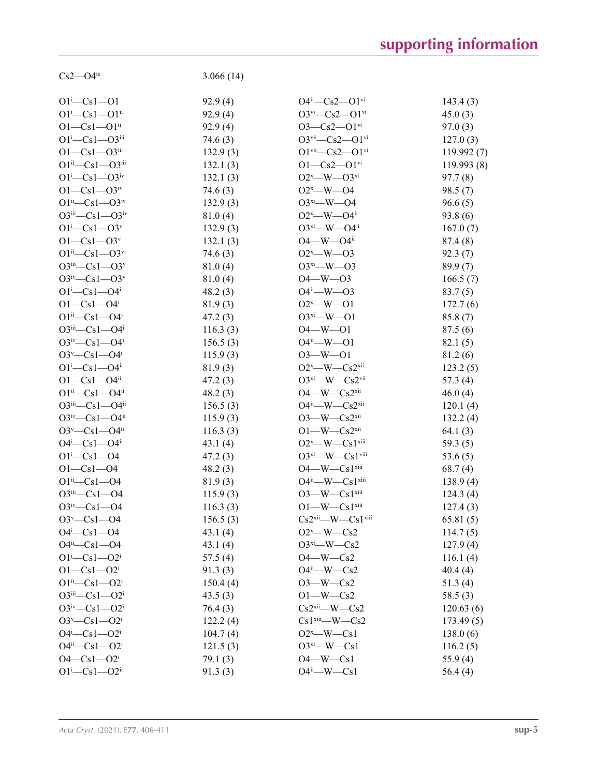| $Cs2 - O4$ <sup>ix</sup>            | 3.066(14) |                                                  |            |
|-------------------------------------|-----------|--------------------------------------------------|------------|
| $O1^{i} - Cs1 - O1$                 | 92.9(4)   | $O4^{ii}$ — $Cs2$ — $O1$ <sup>vi</sup>           | 143.4(3)   |
| $O1^{i} - Cs1 - O1^{ii}$            | 92.9(4)   | $O3^{vi}$ - $Cs2$ - $O1^{vi}$                    | 45.0(3)    |
| $O1 - Cs1 - O1$ <sup>ii</sup>       | 92.9(4)   | $O3 - Cs2 - O1$ <sup>vi</sup>                    | 97.0(3)    |
| $O1^{i} - Cs1 - O3^{iii}$           | 74.6(3)   | $O3$ <sup>vii</sup> — $Cs2$ — $O1$ <sup>vi</sup> | 127.0(3)   |
| $O1 - Cs1 - O3$ iii                 | 132.9(3)  | $O1$ <sup>vii</sup> - $Cs2 - O1$ <sup>vi</sup>   | 119.992(7) |
| $O1^{ii}$ -Cs1- $O3^{iii}$          | 132.1(3)  | $O1 - Cs2 - O1$ <sup>vi</sup>                    | 119.993(8) |
| $O1^{i} - Cs1 - O3^{iv}$            | 132.1(3)  | $O2^x$ —W— $O3^{xi}$                             | 97.7(8)    |
| $O1 - Cs1 - O3$ <sup>iv</sup>       | 74.6(3)   | $O2^x$ —W—O4                                     | 98.5(7)    |
| $O1^{ii}$ - $Cs1$ - $O3^{iv}$       | 132.9(3)  | $O3^{xi}$ W $-$ O4                               | 96.6(5)    |
| $O3^{iii}$ — $Cs1$ — $O3^{iv}$      | 81.0(4)   | $O2^x$ —W—O4 <sup>ii</sup>                       | 93.8(6)    |
| $O1^{i}$ - $Cs1$ - $O3^{v}$         | 132.9(3)  | $O3^{xi}$ -W- $O4^{ii}$                          | 167.0(7)   |
| $O1 - Cs1 - O3^v$                   | 132.1(3)  | $O4$ —W— $O4$ <sup>ii</sup>                      | 87.4(8)    |
| $O1^{ii} - Cs1 - O3^{v}$            | 74.6(3)   | $O2^x$ —W—O3                                     | 92.3(7)    |
| $O3$ iii— $Cs1$ — $O3v$             | 81.0(4)   | $O3^{xi} - W - O3$                               | 89.9(7)    |
| $O3^{iv}$ —Cs1—O3 <sup>v</sup>      | 81.0(4)   | $O4 - W - O3$                                    | 166.5(7)   |
| $O1^{i}$ -Cs1- $O4^{i}$             | 48.2(3)   | $O4^{ii}$ —W— $O3$                               | 83.7(5)    |
| $O1 - Cs1 - O4$                     | 81.9(3)   | $O2^x$ - W - $O1$                                | 172.7(6)   |
| $O1^{ii} - Cs1 - O4^{i}$            | 47.2(3)   | $O3^{xi} - W - O1$                               | 85.8(7)    |
| $O3^{iii} - Cs1 - O4^{i}$           | 116.3(3)  | $O4 - W - O1$                                    | 87.5(6)    |
| $O3^{iv}$ —Cs1—O4 <sup>i</sup>      | 156.5(3)  | $O4^{ii}$ —W—O1                                  | 82.1(5)    |
| $O3^v$ — $Cs1$ — $O4^i$             | 115.9(3)  | $O3 - W - O1$                                    | 81.2 (6)   |
| $O1^{i}$ -Cs1- $O4^{ii}$            | 81.9(3)   | $O2^x$ —W—Cs2 <sup>xii</sup>                     | 123.2(5)   |
| $O1 - Cs1 - O4$ <sup>ii</sup>       | 47.2(3)   | $O3^{xi}$ -W-Cs2 $^{xii}$                        | 57.3(4)    |
| $O1^{ii} - Cs1 - O4^{ii}$           | 48.2(3)   | $O4$ —W— $Cs2$ <sup>xii</sup>                    | 46.0(4)    |
| $O3^{iii}$ — $Cs1$ — $O4^{ii}$      | 156.5(3)  | $O4^{ii}$ —W— $Cs2^{xii}$                        | 120.1(4)   |
| $O3^{iv}$ —Cs1—O4 <sup>ii</sup>     | 115.9(3)  | $O3$ —W— $Cs2$ <sup>xii</sup>                    | 132.2(4)   |
| $O3^v$ — $Cs1$ — $O4$ <sup>ii</sup> | 116.3(3)  | $O1$ —W— $Cs2$ <sup>xii</sup>                    | 64.1(3)    |
| $O4^i$ — $Cs1$ — $O4^{ii}$          | 43.1(4)   | $O2^x$ —W— $Cs1$ <sup>xiii</sup>                 | 59.3(5)    |
| $O1^{i} - Cs1 - O4$                 | 47.2(3)   | $O3^{xi}$ —W— $Cs1^{xiii}$                       | 53.6 $(5)$ |
| $O1 - Cs1 - O4$                     | 48.2(3)   | $O4$ —W— $Cs1$ <sup>xiii</sup>                   | 68.7(4)    |
| $O1^{ii} - Cs1 - O4$                | 81.9(3)   | $O4^{ii}$ —W— $Cs1^{xiii}$                       | 138.9(4)   |
| $O3$ iii— $Cs1$ — $O4$              | 115.9(3)  | $O3$ —W— $Cs1$ <sup>xiii</sup>                   | 124.3(4)   |
| $O3^{iv}$ - Cs1 - O4                | 116.3(3)  | $O1$ —W— $Cs1$ <sup>xiii</sup>                   | 127.4(3)   |
| $O3^{\nu}$ —Cs1—O4                  | 156.5(3)  | $Cs2$ <sup>xii</sup> —W— $Cs1$ <sup>xiii</sup>   | 65.81(5)   |
| $O4^i$ — $Cs1$ — $O4$               | 43.1(4)   | $O2^x$ —W—Cs2                                    | 114.7(5)   |
| $O4^{ii} - Cs1 - O4$                | 43.1(4)   | $O3^{xi}$ -W-Cs2                                 | 127.9(4)   |
| $O1^{i}$ -Cs $1$ - $O2^{i}$         | 57.5(4)   | $O4$ —W—Cs2                                      | 116.1(4)   |
| $O1 - Cs1 - O2i$                    | 91.3(3)   | $O4^{ii}$ —W—Cs2                                 | 40.4(4)    |
| $O1^{ii} - Cs1 - O2^{i}$            | 150.4(4)  | $O3-W$ -Cs2                                      | 51.3(4)    |
| $O3^{iii}$ — $Cs1$ — $O2^{i}$       | 43.5(3)   | $O1$ —W—Cs2                                      | 58.5(3)    |
| $O3^{iv}$ — $Cs1$ — $O2^i$          | 76.4(3)   | $Cs2$ <sup>xii</sup> —W—Cs2                      | 120.63(6)  |
| $O3^v$ — $Cs1$ — $O2^i$             | 122.2(4)  | $Cs1$ <sup>xiii</sup><br>-- W- $Cs2$             | 173.49(5)  |
| $O4^i$ — $Cs1$ — $O2^i$             | 104.7(4)  | $O2^x$ —W—Cs1                                    | 138.0(6)   |
| $O4^{ii} - Cs1 - O2^{i}$            | 121.5(3)  | $O3^{xi}$ —W—Cs1                                 | 116.2(5)   |
| $O4 - Cs1 - O2i$                    | 79.1 (3)  | $O4$ —W— $Cs1$                                   | 55.9 $(4)$ |
| $O1^{i}$ -Cs $1$ --O2 <sup>ii</sup> | 91.3(3)   | $O4^{ii}$ —W—Cs1                                 | 56.4(4)    |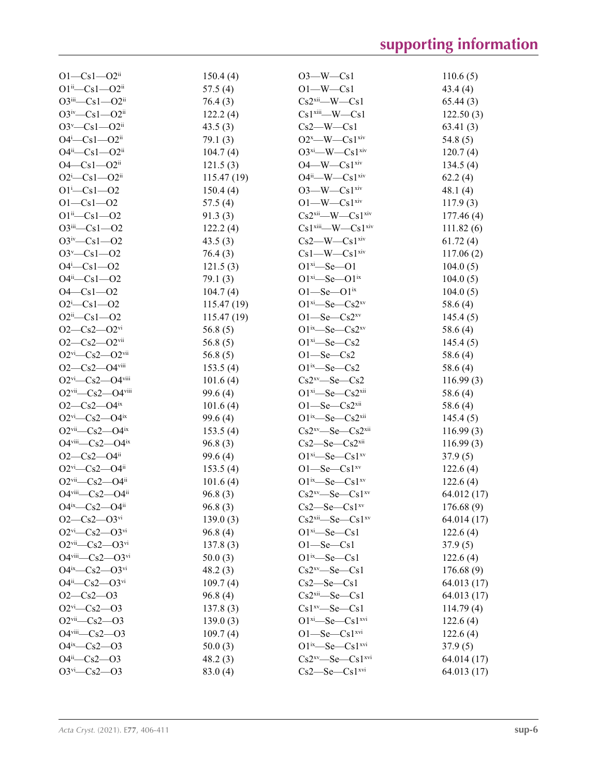| $O1 - Cs1 - O2$ <sup>ii</sup>                      | 150.4(4)   | $O3$ —W—Cs1                                    | 110.6(5)    |
|----------------------------------------------------|------------|------------------------------------------------|-------------|
| $O1^{ii} - Cs1 - O2^{ii}$                          | 57.5(4)    | $O1-W$ -Cs1                                    | 43.4(4)     |
| $O3^{iii}$ — $Cs1$ — $O2^{ii}$                     | 76.4(3)    | $Cs2$ <sup>xii</sup> —W—Cs1                    | 65.44(3)    |
| $O3^{iv}$ — $Cs1$ — $O2^{ii}$                      | 122.2(4)   | $Cs1$ <sup>xiii</sup> —W— $Cs1$                | 122.50(3)   |
| $O3^v$ — $Cs1$ — $O2$ <sup>ii</sup>                | 43.5(3)    | $Cs2-W-Cs1$                                    | 63.41(3)    |
| $O4^i$ — $Cs1$ — $O2^{ii}$                         | 79.1(3)    | $O2^x$ —W— $Cs1^{xiv}$                         | 54.8(5)     |
| $O4^{ii}$ — $Cs1$ — $O2^{ii}$                      | 104.7(4)   | $O3^{xi}$ —W— $Cs1^{xiv}$                      | 120.7(4)    |
| $O4 - Cs1 - O2$ <sup>ii</sup>                      | 121.5(3)   | $O4$ —W— $Cs1$ <sup>xiv</sup>                  | 134.5(4)    |
| $O2^i$ — $Cs1$ — $O2^i$                            | 115.47(19) | $O4^{ii}$ —W— $Cs1^{xiv}$                      | 62.2(4)     |
| $O1^{i} - Cs1 - O2$                                | 150.4(4)   | $O3$ —W— $Cs1$ <sup>xiv</sup>                  | 48.1(4)     |
| $O1 - Cs1 - O2$                                    | 57.5(4)    | $O1$ —W— $Cs1$ <sup>xiv</sup>                  | 117.9(3)    |
| $O1^{ii} - Cs1 - O2$                               | 91.3(3)    | $Cs2xii$ - W - $Cs1xiv$                        | 177.46(4)   |
| $O3$ <sup>iii</sup> — $Cs1$ — $O2$                 | 122.2(4)   | $Cs1$ <sup>xiii</sup> —W— $Cs1$ <sup>xiv</sup> | 111.82(6)   |
| $O3^{iv}$ —Cs1—O2                                  | 43.5(3)    | $Cs2$ —W— $Cs1$ <sup>xiv</sup>                 | 61.72(4)    |
| $O3^v$ - Cs1 - $O2$                                | 76.4(3)    | $Cs1$ —W— $Cs1$ <sup>xiv</sup>                 | 117.06(2)   |
| $O4 - Cs1 - O2$                                    | 121.5(3)   | $O1^{xi} - Se - O1$                            | 104.0(5)    |
| $O4^{ii} - Cs1 - O2$                               | 79.1(3)    | $O1^{xi}$ -Se- $O1^{ix}$                       | 104.0(5)    |
| $O4 - Cs1 - O2$                                    |            | $O1 - Se - O1$ <sup>ix</sup>                   |             |
| $O2^i$ -Cs1- $O2$                                  | 104.7(4)   | $O1^{xi}$ -Se-Cs2 $^{xv}$                      | 104.0(5)    |
|                                                    | 115.47(19) |                                                | 58.6 (4)    |
| $O2ii - Cs1 - O2$                                  | 115.47(19) | $O1$ —Se—Cs2 <sup>xv</sup>                     | 145.4(5)    |
| $O2-Cs2-O2$ <sup>vi</sup>                          | 56.8(5)    | $O1^{ix}$ —Se—Cs2 $^{xy}$                      | 58.6(4)     |
| $O2 - Cs2 - O2$ <sup>vii</sup>                     | 56.8(5)    | $O1^{xi}$ -Se-Cs2                              | 145.4(5)    |
| $O2$ <sup>vi</sup> — $Cs2$ — $O2$ <sup>vii</sup>   | 56.8 $(5)$ | $O1$ —Se—Cs2                                   | 58.6(4)     |
| $O2-Cs2-O4$ <sup>viii</sup>                        | 153.5(4)   | $O1^{ix}$ —Se—Cs2                              | 58.6 (4)    |
| $O2vi$ -Cs2- $O4viii$                              | 101.6(4)   | $Cs2^{xy}-Se-Cs2$                              | 116.99(3)   |
| $O2$ <sup>vii</sup> — $Cs2$ — $O4$ <sup>viii</sup> | 99.6(4)    | $O1^{xi}$ -Se-Cs2 $xi$                         | 58.6(4)     |
| $O2-Cs2-O4ix$                                      | 101.6(4)   | $O1$ —Se—Cs2 <sup>xii</sup>                    | 58.6(4)     |
| $O2$ <sup>vi</sup> —Cs2—O4 <sup>ix</sup>           | 99.6(4)    | $O1^{ix}$ —Se—Cs2 <sup>xii</sup>               | 145.4(5)    |
| $O2$ <sup>vii</sup> — $Cs2$ — $O4$ <sup>ix</sup>   | 153.5(4)   | $Cs2^{xy}$ -Se-Cs2 $xi$                        | 116.99(3)   |
| $O4$ <sup>viii</sup> — $Cs2$ — $O4$ <sup>ix</sup>  | 96.8(3)    | $Cs2$ —Se—Cs $2xii$                            | 116.99(3)   |
| $O2-Cs2-O4ii$                                      | 99.6(4)    | $O1^{xi}$ -Se-Cs1 $^{xv}$                      | 37.9(5)     |
| $O2$ <sup>vi</sup> —Cs2—O4 <sup>ii</sup>           | 153.5(4)   | $O1$ —Se—Cs1 <sup>xv</sup>                     | 122.6(4)    |
| $O2$ <sup>vii</sup> —Cs2—O4 <sup>ii</sup>          | 101.6(4)   | $O1^{ix}$ —Se—Cs $1^{xy}$                      | 122.6(4)    |
| O4viii-Cs2-O4ii                                    | 96.8(3)    | $Cs2^{xy}$ -Se-Cs1 $^{xy}$                     | 64.012 (17) |
| $O4^{ix}$ — $Cs2$ — $O4^{ii}$                      | 96.8(3)    | $Cs2$ —Se—Cs1 <sup>xv</sup>                    | 176.68(9)   |
| $O2-Cs2-O3$ <sup>vi</sup>                          | 139.0(3)   | $Cs2xii$ Se $Cs1xy$                            | 64.014(17)  |
| $O2^{vi}$ - $Cs2$ - $O3^{vi}$                      | 96.8(4)    | $O1^{xi}$ -Se-Cs1                              | 122.6(4)    |
| $O2$ <sup>vii</sup> — $Cs2$ — $O3$ <sup>vi</sup>   | 137.8(3)   | $O1 - Se - Cs1$                                | 37.9(5)     |
| O4viii- $Cs2$ -O3vi                                | 50.0(3)    | $O1^{ix}$ Se $-Cs1$                            | 122.6(4)    |
| $O4^{ix}$ — $Cs2$ — $O3^{vi}$                      | 48.2(3)    | $Cs2^{xy}-Se-Cs1$                              | 176.68(9)   |
| $O4^{ii}$ - $Cs2$ - $O3^{vi}$                      | 109.7(4)   | $Cs2$ —Se—Cs1                                  | 64.013 (17) |
| $O2 - Cs2 - O3$                                    | 96.8(4)    | $Cs2xii$ -Se-Cs1                               | 64.013 (17) |
| $O2vi$ -Cs2- $O3$                                  | 137.8(3)   | $Cs1^{xy}-Se-Cs1$                              | 114.79(4)   |
| $O2$ <sup>vii</sup> — $Cs2$ — $O3$                 | 139.0(3)   | $O1^{xi}$ -Se-Cs $1^{xvi}$                     | 122.6(4)    |
| $O4$ <sup>viii</sup> — $Cs2$ — $O3$                | 109.7(4)   | $O1 - Se - Cs1$ <sup>xvi</sup>                 | 122.6(4)    |
| $O4^{ix}$ - $Cs2$ - $O3$                           | 50.0(3)    | $O1^{ix}$ -Se - Cs1 $x^{yi}$                   | 37.9(5)     |
| $O4^{ii}$ - $Cs2$ - $O3$                           | 48.2(3)    | $Cs2^{xv}$ - Se - Cs1 $^{xvi}$                 | 64.014 (17) |
| $O3^{vi}$ - Cs2 - $O3$                             | 83.0(4)    | $Cs2$ —Se—Cs $1$ <sup>xvi</sup>                | 64.013 (17) |
|                                                    |            |                                                |             |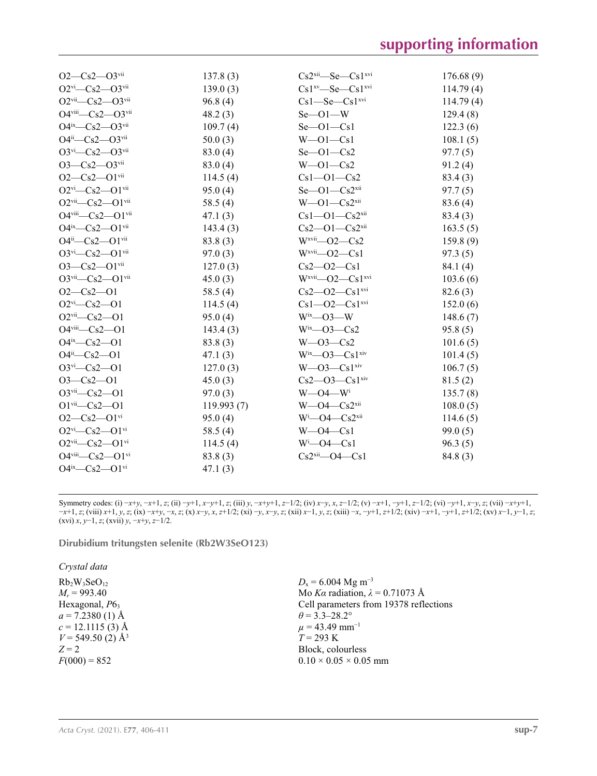| $O2-Cs2-O3$ <sup>vii</sup>                         | 137.8(3)   | $Cs2xii$ Se $Cs1xvi$                | 176.68(9) |
|----------------------------------------------------|------------|-------------------------------------|-----------|
| $O2$ <sup>vi</sup> —Cs2—O3 <sup>vii</sup>          | 139.0(3)   | $Cs1^{xv}$ —Se—Cs1 $x^{vi}$         | 114.79(4) |
| $O2vii$ -Cs2- $O3vii$                              | 96.8(4)    | $Cs1 - Se - Cs1$ <sup>xvi</sup>     | 114.79(4) |
| $O4$ <sup>viii</sup> — $Cs2$ — $O3$ <sup>vii</sup> | 48.2(3)    | $Se$ -O1-W                          | 129.4(8)  |
| $O4^{ix}$ — $Cs2$ — $O3^{vii}$                     | 109.7(4)   | $Se$ -Ol-Csl                        | 122.3(6)  |
| $O4^{ii}$ - $Cs2$ - $O3^{vii}$                     | 50.0(3)    | $W$ -O1 - Cs1                       | 108.1(5)  |
| $O3^{vi}$ - Cs2 - $O3^{vii}$                       | 83.0(4)    | $Se$ -Ol-Cs2                        | 97.7(5)   |
| $O3 - Cs2 - O3$ <sup>vii</sup>                     | 83.0(4)    | $W$ —O1—Cs2                         | 91.2(4)   |
| $O2 - Cs2 - O1$ <sup>vii</sup>                     | 114.5(4)   | $Cs1 - O1 - Cs2$                    | 83.4(3)   |
| $O2^{vi}$ - Cs2 - $O1^{vii}$                       | 95.0(4)    | $Se$ — $O1$ — $Cs2$ <sup>xii</sup>  | 97.7(5)   |
| $O2$ <sup>vii</sup> — $Cs2$ — $O1$ <sup>vii</sup>  | 58.5 $(4)$ | $W$ —O1—Cs2 $x$ ii                  | 83.6(4)   |
| $O4$ <sup>viii</sup> - $Cs2$ - $O1$ <sup>vii</sup> | 47.1(3)    | $Cs1 - O1 - Cs2$ <sup>xii</sup>     | 83.4(3)   |
| $O4^{ix}$ — $Cs2$ — $O1^{vii}$                     | 143.4(3)   | $Cs2$ —O1—Cs2 <sup>xii</sup>        | 163.5(5)  |
| $O4^{ii}$ - $Cs2$ - $O1$ <sup>vii</sup>            | 83.8(3)    | $Wxvii$ - O2 - Cs2                  | 159.8(9)  |
| $O3^{vi}$ - $Cs2$ - $O1^{vii}$                     | 97.0(3)    | $Wxvii$ - O2 - Cs1                  | 97.3(5)   |
| $O3 - Cs2 - O1$ <sup>vii</sup>                     | 127.0(3)   | $Cs2 - O2 - Cs1$                    | 84.1 (4)  |
| $O3$ <sup>vii</sup> — $Cs2$ — $O1$ <sup>vii</sup>  | 45.0(3)    | $Wxvii$ - $O2$ - $Cs1xvi$           | 103.6(6)  |
| $O2-Cs2-O1$                                        | 58.5 $(4)$ | $Cs2 - O2 - Cs1$ <sup>xvi</sup>     | 82.6(3)   |
| $O2^{vi}$ - Cs2 - O1                               | 114.5(4)   | $Cs1 - O2 - Cs1$ <sup>xvi</sup>     | 152.0(6)  |
| $O2$ <sup>vii</sup> — $Cs2$ — $O1$                 | 95.0(4)    | $W^{ix}$ —O3—W                      | 148.6(7)  |
| $O4$ <sup>viii</sup> - $Cs2 - O1$                  | 143.4(3)   | $Wix$ - O3 - Cs2                    | 95.8(5)   |
| $O4^{ix}$ — $Cs2$ — $O1$                           | 83.8(3)    | $W$ — $O3$ — $Cs2$                  | 101.6(5)  |
| $O4^{ii} - Cs2 - O1$                               | 47.1(3)    | $W^{ix}$ — $O3$ — $Cs1^{xiv}$       | 101.4(5)  |
| $O3^{vi}$ - Cs2 - O1                               | 127.0(3)   | $W$ —O3—Cs1 $\frac{x}{y}$           | 106.7(5)  |
| $O3-Cs2-O1$                                        | 45.0(3)    | $Cs2$ — $O3$ — $Cs1$ <sup>xiv</sup> | 81.5(2)   |
| $O3$ <sup>vii</sup> -Cs2- $O1$                     | 97.0(3)    | $W$ —O4— $W$ <sup>i</sup>           | 135.7(8)  |
| $O1$ <sup>vii</sup> — $Cs2$ — $O1$                 | 119.993(7) | $W$ —O4—Cs2 $x$ ii                  | 108.0(5)  |
| $O2-Cs2-O1$ <sup>vi</sup>                          | 95.0(4)    | $W^i$ —O4—Cs2 <sup>xii</sup>        | 114.6(5)  |
| $O2^{vi}$ - $Cs2$ - $O1$ <sup>vi</sup>             | 58.5 $(4)$ | $W$ —O4—Cs1                         | 99.0(5)   |
| $O2$ <sup>vii</sup> — $Cs2$ — $O1$ <sup>vi</sup>   | 114.5(4)   | $W^i$ —O4—Cs1                       | 96.3(5)   |
| O4viii-Cs2-O1vi                                    | 83.8(3)    | $Cs2xii$ - O4 - Cs1                 | 84.8(3)   |
| $O4^{ix}$ — $Cs2$ — $O1^{vi}$                      | 47.1(3)    |                                     |           |

Symmetry codes: (i)  $-x+y$ ,  $-x+1$ ,  $z$ ; (ii)  $-y+1$ ,  $x-y+1$ ,  $z$ ; (iii)  $y$ ,  $-x+y+1$ ,  $z-1/2$ ; (iv)  $x-y$ ,  $x$ ,  $z-1/2$ ; (v)  $-x+1$ ,  $-y+1$ ,  $z-1/2$ ; (vi)  $-y+1$ ,  $x-y$ ,  $z$ ; (vii)  $-x+y+1$ ,  $-x+1$ , z; (viii)  $x+1$ , y, z; (ix)  $-x+y$ ,  $-x$ , z; (x)  $x-y$ , x, z+1/2; (xi)  $-y$ , x-y, z; (xii)  $x-1$ , y, z; (xiii)  $-x$ ,  $y+1$ ,  $z+1/2$ ; (xiv)  $-x+1$ ,  $z+1/2$ ; (xv)  $x-1$ ,  $y-1$ , z; (xvi) *x*, *y*−1, *z*; (xvii) *y*, −*x*+*y*, *z*−1/2.

**Dirubidium tritungsten selenite (Rb2W3SeO123)** 

*Crystal data*

 $Rb_2W_3SeO_{12}$ *Mr* = 993.40 Hexagonal,  $P6<sub>3</sub>$  $a = 7.2380(1)$  Å  $c = 12.1115(3)$  Å  $V = 549.50$  (2) Å<sup>3</sup> *Z* = 2  $F(000) = 852$ 

*D*<sub>x</sub> = 6.004 Mg m<sup>-3</sup> Mo *Kα* radiation, *λ* = 0.71073 Å Cell parameters from 19378 reflections  $\theta$  = 3.3–28.2°  $\mu$  = 43.49 mm<sup>-1</sup>  $T = 293 \text{ K}$ Block, colourless  $0.10 \times 0.05 \times 0.05$  mm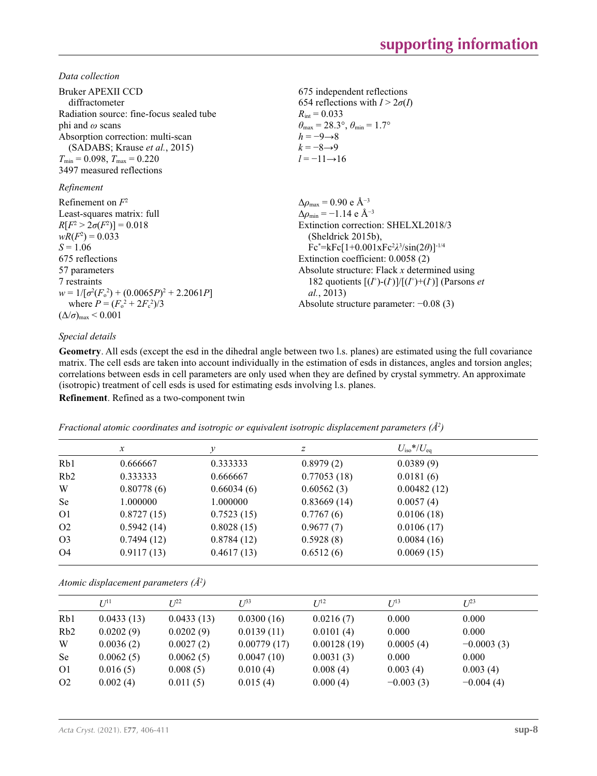*Data collection*

| Bruker APEXII CCD<br>diffractometer               | 675 independent reflections<br>654 reflections with $I > 2\sigma(I)$    |
|---------------------------------------------------|-------------------------------------------------------------------------|
| Radiation source: fine-focus sealed tube          | $R_{\text{int}} = 0.033$                                                |
| phi and $\omega$ scans                            | $\theta_{\text{max}} = 28.3^{\circ}, \theta_{\text{min}} = 1.7^{\circ}$ |
| Absorption correction: multi-scan                 | $h = -9 \rightarrow 8$                                                  |
| (SADABS; Krause et al., 2015)                     | $k = -8 \rightarrow 9$                                                  |
| $T_{\min}$ = 0.098, $T_{\max}$ = 0.220            | $l = -11 \rightarrow 16$                                                |
| 3497 measured reflections                         |                                                                         |
| Refinement                                        |                                                                         |
| Refinement on $F^2$                               | $\Delta\rho_{\text{max}} = 0.90 \text{ e A}^{-3}$                       |
| Least-squares matrix: full                        | $\Delta \rho_{\rm min} = -1.14$ e Å <sup>-3</sup>                       |
| $R[F^2 > 2\sigma(F^2)] = 0.018$                   | Extinction correction: SHELXL2018/3                                     |
| $wR(F^2) = 0.033$                                 | (Sheldrick 2015b),                                                      |
| $S = 1.06$                                        | $Fc^* = kFc[1+0.001xFc^2\lambda^3/sin(2\theta)]^{-1/4}$                 |
| 675 reflections                                   | Extinction coefficient: 0.0058 (2)                                      |
| 57 parameters                                     | Absolute structure: Flack $x$ determined using                          |
| 7 restraints                                      | 182 quotients $[(I^+)(I)]/[(I^+)+(I)]$ (Parsons <i>et</i>               |
| $w = 1/[\sigma^2(F_0^2) + (0.0065P)^2 + 2.2061P]$ | <i>al.</i> , 2013)                                                      |
| where $P = (F_o^2 + 2F_s^2)/3$                    | Absolute structure parameter: $-0.08(3)$                                |
| $(\Delta/\sigma)_{\text{max}}$ < 0.001            |                                                                         |

## *Special details*

**Geometry**. All esds (except the esd in the dihedral angle between two l.s. planes) are estimated using the full covariance matrix. The cell esds are taken into account individually in the estimation of esds in distances, angles and torsion angles; correlations between esds in cell parameters are only used when they are defined by crystal symmetry. An approximate (isotropic) treatment of cell esds is used for estimating esds involving l.s. planes. **Refinement**. Refined as a two-component twin

|                  | $\mathcal{X}$ | v          | Ζ           | $U_{\rm iso} * / U_{\rm eq}$ |  |
|------------------|---------------|------------|-------------|------------------------------|--|
| Rb1              | 0.666667      | 0.333333   | 0.8979(2)   | 0.0389(9)                    |  |
| R <sub>b</sub> 2 | 0.333333      | 0.666667   | 0.77053(18) | 0.0181(6)                    |  |
| W                | 0.80778(6)    | 0.66034(6) | 0.60562(3)  | 0.00482(12)                  |  |
| Se               | 1.000000      | 1.000000   | 0.83669(14) | 0.0057(4)                    |  |
| O <sub>1</sub>   | 0.8727(15)    | 0.7523(15) | 0.7767(6)   | 0.0106(18)                   |  |
| O <sub>2</sub>   | 0.5942(14)    | 0.8028(15) | 0.9677(7)   | 0.0106(17)                   |  |
| O <sub>3</sub>   | 0.7494(12)    | 0.8784(12) | 0.5928(8)   | 0.0084(16)                   |  |
| O <sub>4</sub>   | 0.9117(13)    | 0.4617(13) | 0.6512(6)   | 0.0069(15)                   |  |

*Fractional atomic coordinates and isotropic or equivalent isotropic displacement parameters (Å<sup>2</sup> )*

*Atomic displacement parameters (Å<sup>2</sup> )*

|                | $U^{11}$   | $I^{22}$   | $U^{33}$    | $I/I^2$     | $U^{13}$    | $L^{23}$     |  |
|----------------|------------|------------|-------------|-------------|-------------|--------------|--|
| Rb1            | 0.0433(13) | 0.0433(13) | 0.0300(16)  | 0.0216(7)   | 0.000       | 0.000        |  |
| Rb2            | 0.0202(9)  | 0.0202(9)  | 0.0139(11)  | 0.0101(4)   | 0.000       | 0.000        |  |
| W              | 0.0036(2)  | 0.0027(2)  | 0.00779(17) | 0.00128(19) | 0.0005(4)   | $-0.0003(3)$ |  |
| <b>Se</b>      | 0.0062(5)  | 0.0062(5)  | 0.0047(10)  | 0.0031(3)   | 0.000       | 0.000        |  |
| O <sub>1</sub> | 0.016(5)   | 0.008(5)   | 0.010(4)    | 0.008(4)    | 0.003(4)    | 0.003(4)     |  |
| O <sub>2</sub> | 0.002(4)   | 0.011(5)   | 0.015(4)    | 0.000(4)    | $-0.003(3)$ | $-0.004(4)$  |  |
|                |            |            |             |             |             |              |  |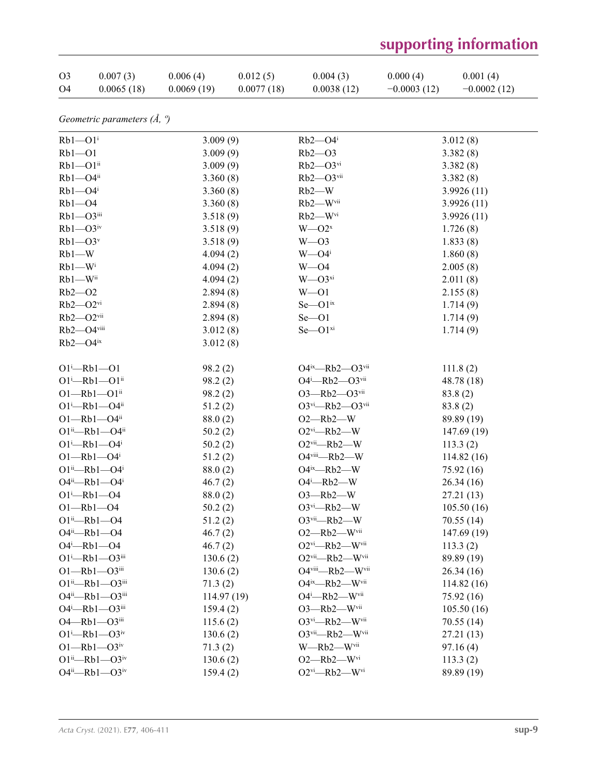| O <sub>3</sub> | 0.007(3)   | 0.006(4)   | 0.012(5)   | 0.004(3)   | 0.000(4)      | 0.001(4)      |
|----------------|------------|------------|------------|------------|---------------|---------------|
| O4             | 0.0065(18) | 0.0069(19) | 0.0077(18) | 0.0038(12) | $-0.0003(12)$ | $-0.0002(12)$ |

*Geometric parameters (Å, º)*

| $Rb1 - O1$ <sup>i</sup>                     | 3.009(9)    | $Rb2 - O4$ <sup>i</sup>               | 3.012(8)    |
|---------------------------------------------|-------------|---------------------------------------|-------------|
| $Rb1 - O1$                                  | 3.009(9)    | $Rb2 - 03$                            | 3.382(8)    |
| $Rb1 - O1$ <sup>ii</sup>                    | 3.009(9)    | $Rb2$ — $O3$ <sup>vi</sup>            | 3.382(8)    |
| Rb1-O4ii                                    | 3.360(8)    | $Rb2 - O3$ <sup>vii</sup>             | 3.382(8)    |
| $Rb1 - O4$ <sup>i</sup>                     | 3.360(8)    | $Rb2-W$                               | 3.9926(11)  |
| $Rb1 - O4$                                  | 3.360(8)    | Rb2-Wvii                              | 3.9926(11)  |
| $Rb1 - O3$ iii                              | 3.518(9)    | $Rb2$ —W <sup>vi</sup>                | 3.9926(11)  |
| $Rb1 - O3$ iv                               | 3.518(9)    | $W = O2^x$                            | 1.726(8)    |
| $Rb1 - O3v$                                 | 3.518(9)    | $W - O3$                              | 1.833(8)    |
| $Rb1-W$                                     | 4.094(2)    | $W = O4i$                             | 1.860(8)    |
| $Rb1-W$ <sup>i</sup>                        | 4.094(2)    | $W = 04$                              | 2.005(8)    |
| $Rb1 - W$ <sup>ii</sup>                     | 4.094(2)    | $W - O3^{xi}$                         | 2.011(8)    |
| $Rb2 - 02$                                  | 2.894(8)    | $W$ —O1                               | 2.155(8)    |
| $Rb2 - O2$ <sup>vi</sup>                    | 2.894(8)    | $Se$ — $O1ix$                         | 1.714(9)    |
| $Rb2 - O2$ <sup>vii</sup>                   | 2.894(8)    | $Se$ -Ol                              | 1.714(9)    |
| Rb2-O4viii                                  | 3.012(8)    | $Se$ -O $1xi$                         | 1.714(9)    |
| $Rb2 - O4$ <sup>ix</sup>                    | 3.012(8)    |                                       |             |
|                                             |             |                                       |             |
| $O1^{i}$ -Rb1- $O1$                         | 98.2(2)     | O4ix-Rb2-O3vii                        | 111.8(2)    |
| $O1^i$ -Rb $1$ --O $1^i$                    | 98.2(2)     | O4i-Rb2-O3vii                         | 48.78 (18)  |
| $O1 - Rb1 - O1$ <sup>ii</sup>               | 98.2(2)     | O3-Rb2-O3vii                          | 83.8(2)     |
| $O1^{i}$ -Rb $1$ --O4 $^{ii}$               | 51.2(2)     | $O3^{vi}$ -Rb2- $O3^{vii}$            | 83.8(2)     |
| $O1 - Rb1 - O4$ <sup>ii</sup>               | 88.0(2)     | $O2$ —Rb $2$ —W                       | 89.89 (19)  |
| $O1^{ii}$ -Rb1- $O4^{ii}$                   | 50.2(2)     | $O2vi$ -Rb2--W                        | 147.69(19)  |
| $O1^i$ -Rb $1$ --O4 <sup>i</sup>            | 50.2(2)     | $O2$ <sup>vii</sup> —Rb2—W            | 113.3(2)    |
| $O1 - Rb1 - O4$                             | 51.2(2)     | O4viii-Rb2-W                          | 114.82(16)  |
| $O1^{ii}$ -Rb1- $O4^{i}$                    | 88.0(2)     | $O4^{ix}$ -Rb2-W                      | 75.92 (16)  |
| $O4^{ii}$ -Rb1- $O4^{i}$                    | 46.7(2)     | $O4^i$ -Rb2-W                         | 26.34(16)   |
| $O1^{i}$ -Rb1- $O4$                         | 88.0(2)     | $O3$ -Rb2-W                           | 27.21 (13)  |
| $O1 - Rb1 - O4$                             | 50.2(2)     | $O3$ <sup>vi</sup> -Rb2-W             | 105.50(16)  |
| $O1^{ii}$ -Rb1-04                           | 51.2(2)     | $O3$ <sup>vii</sup> -Rb2-W            | 70.55(14)   |
| $O4^{ii}$ -Rb1- $O4$                        | 46.7(2)     | $O2$ -Rb2-Wvii                        | 147.69 (19) |
| $O4^i$ -Rb1- $O4$                           | 46.7(2)     | O2vi-Rb2-Wvii                         | 113.3(2)    |
| $O1^{\text{i}}$ -Rb $1$ - $O3^{\text{iii}}$ | 130.6(2)    | O2vii-Rb2-Wvii                        | 89.89 (19)  |
| $O1 - Rb1 - O3$ iii                         | 130.6(2)    | O4viii-Rb2-Wvii                       | 26.34(16)   |
| $O1^{ii}$ -Rb1- $O3^{iii}$                  | 71.3(2)     | O4ix-Rb2-Wvii                         | 114.82(16)  |
| $O4^{ii}$ -Rb1- $O3^{iii}$                  | 114.97 (19) | $O4^i$ --- Rb2---- $W^{\mathrm{vii}}$ | 75.92(16)   |
| $O4^i$ -Rb1- $O3^{iii}$                     | 159.4(2)    | $O3$ -Rb2-Wvii                        | 105.50(16)  |
| O4-Rb1-O3iii                                | 115.6(2)    | O3vi-Rb2-Wvii                         | 70.55(14)   |
| $O1^{i}$ -Rb1- $O3^{iv}$                    | 130.6(2)    | O3vii-Rb2-Wvii                        | 27.21 (13)  |
| $O1 - Rb1 - O3$ <sup>iv</sup>               | 71.3(2)     | W-Rb2-Wvii                            | 97.16(4)    |
| $O1^{ii}$ -Rb1- $O3^{iv}$                   | 130.6(2)    | $O2 - Rb2 - W$ <sup>vi</sup>          | 113.3(2)    |
| $O4^{ii}$ -Rb1- $O3^{iv}$                   | 159.4(2)    | $O2vi$ -Rb2-W <sup>vi</sup>           | 89.89 (19)  |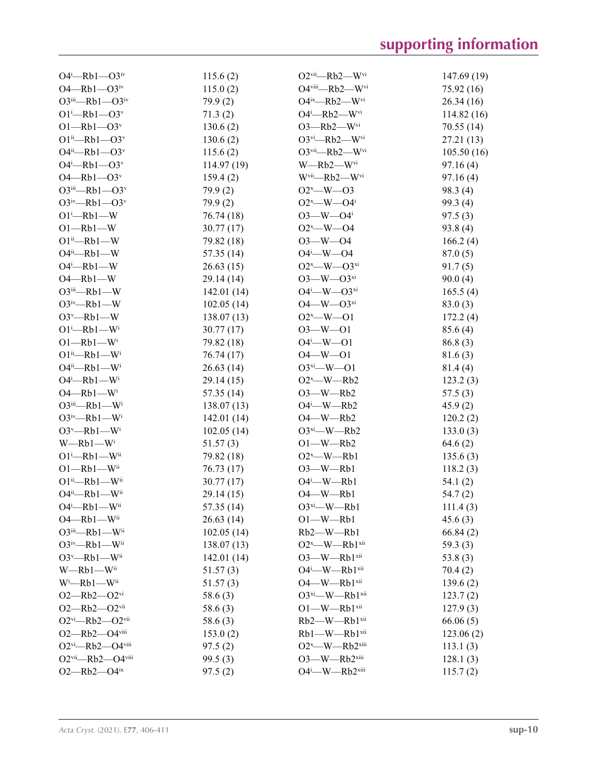| $O4^i$ -Rb1- $O3^iv$                                  | 115.6(2)   | $O2$ <sup>vii</sup> —Rb2—W <sup>vi</sup>  | 147.69 (19) |
|-------------------------------------------------------|------------|-------------------------------------------|-------------|
| $O4 - Rb1 - O3$ iv                                    | 115.0(2)   | $O4$ <sup>viii</sup> —Rb2—W <sup>vi</sup> | 75.92 (16)  |
| $O3^{iii}$ -Rb1- $O3^{iv}$                            | 79.9(2)    | O4ix-Rb2-Wvi                              | 26.34(16)   |
| $O1^i$ -Rb $1$ - $O3^v$                               | 71.3(2)    | $O4^i$ -Rb2-W <sup>vi</sup>               | 114.82(16)  |
| $O1 - Rb1 - O3v$                                      | 130.6(2)   | $O3$ -Rb2-Wvi                             | 70.55(14)   |
| $O1^{ii}$ -Rb1- $O3^v$                                | 130.6(2)   | $O3vi$ -Rb2-W <sup>vi</sup>               | 27.21 (13)  |
| $O4^{ii}$ -Rb1- $O3^v$                                | 115.6(2)   | O3vii-Rb2-Wvi                             | 105.50(16)  |
| $O4^i$ -Rb1- $O3^v$                                   | 114.97(19) | $W$ —Rb2—W <sup>vi</sup>                  | 97.16(4)    |
| $O4 - Rb1 - O3v$                                      | 159.4(2)   | W <sup>vii</sup> -Rb2-W <sup>vi</sup>     | 97.16(4)    |
| $O3iii$ -Rb1- $O3v$                                   | 79.9(2)    | $O2^x$ —W—O3                              | 98.3(4)     |
| $O3^{\text{iv}}$ -Rb1- $O3^{\text{v}}$                | 79.9(2)    | $O2^x$ —W— $O4^i$                         | 99.3 (4)    |
| $O1 - Rb1 - W$                                        | 76.74 (18) | $O3$ —W— $O4^i$                           | 97.5(3)     |
| $O1 - Rb1 - W$                                        | 30.77(17)  | $O2^x$ —W—O4                              | 93.8 (4)    |
| $O1^{ii}$ -Rb1-W                                      | 79.82 (18) | $O3 - W - O4$                             | 166.2(4)    |
| $O4^{ii}$ -Rb1-W                                      | 57.35(14)  | $O4^i$ —W—O4                              | 87.0(5)     |
| $O4^i$ -Rb1-W                                         | 26.63(15)  | $O2^x$ —W— $O3^{xi}$                      | 91.7(5)     |
| $O4 - Rb1 - W$                                        | 29.14 (14) | $O3$ —W— $O3^{xi}$                        | 90.0(4)     |
| O3iii-Rb1-W                                           | 142.01(14) | $O4^i$ —W— $O3^{xi}$                      | 165.5(4)    |
| $O3^{\text{iv}}$ -Rb1-W                               | 102.05(14) | $O4 - W - O3^{xi}$                        | 83.0(3)     |
| $O3^v$ -Rb1-W                                         | 138.07(13) | $O2^x$ —W—O1                              | 172.2(4)    |
| $O1^i$ -Rb $1$ -W <sup>i</sup>                        | 30.77(17)  | $O3 - W - O1$                             | 85.6(4)     |
| $O1 - Rb1 - W$                                        |            | $O4^i$ - W - $O1$                         |             |
| $O1^{ii}$ -Rb1-W <sup>i</sup>                         | 79.82 (18) | $O4 - W - O1$                             | 86.8(3)     |
|                                                       | 76.74 (17) |                                           | 81.6(3)     |
| $O4^{ii}$ -Rb1-W <sup>i</sup>                         | 26.63(14)  | $O3^{xi}$ - W - $O1$                      | 81.4(4)     |
| $O4^i$ -Rb1-W <sup>i</sup>                            | 29.14(15)  | $O2^x$ —W—Rb2                             | 123.2(3)    |
| $O4 - Rb1 - W$ <sup>i</sup>                           | 57.35 (14) | $O3$ —W—Rb2                               | 57.5(3)     |
| $O3$ <sup>iii</sup> —Rb1—W <sup>i</sup>               | 138.07(13) | $O4^i$ —W—Rb2                             | 45.9(2)     |
| $O3^{\text{iv}}$ -Rb1-W <sup>i</sup>                  | 142.01(14) | $O4$ —W—Rb2                               | 120.2(2)    |
| $O3^v$ —Rb1—W <sup>i</sup>                            | 102.05(14) | $O3^{xi}$ -W-Rb2                          | 133.0(3)    |
| $W$ —Rb $1$ —W <sup>i</sup>                           | 51.57(3)   | $O1$ —W—Rb2                               | 64.6(2)     |
| $O1^i$ —Rb $1$ —W <sup>ii</sup>                       | 79.82 (18) | $O2^x$ —W—Rb1                             | 135.6(3)    |
| $O1 - Rb1 - W$ ii                                     | 76.73(17)  | $O3$ —W—Rb1                               | 118.2(3)    |
| $O1^{ii}$ -Rb1-W <sup>ii</sup>                        | 30.77(17)  | $O4^i$ —W—Rb1                             | 54.1(2)     |
| O4ii-Rb1-Wii                                          | 29.14(15)  | $O4$ —W—Rb1                               | 54.7(2)     |
| $O4^i$ -Rb1-Wii                                       | 57.35 (14) | $O3^{xi}$ —W—Rb1                          | 111.4(3)    |
| $O4 - Rb1 - W$ ii                                     | 26.63(14)  | $O1$ —W—Rb1                               | 45.6(3)     |
| O3iii-Rb1-Wii                                         | 102.05(14) | $Rb2$ —W— $Rb1$                           | 66.84(2)    |
| $O3^{\text{iv}}$ -Rb1-Wii                             | 138.07(13) | $O2^x$ —W—Rb $1^{xii}$                    | 59.3(3)     |
| $O3^v$ —Rb1—Wii                                       | 142.01(14) | $O3$ —W—Rb $1$ <sup>xii</sup>             | 53.8 $(3)$  |
| $W$ —Rb $1$ —W <sup>ii</sup>                          | 51.57(3)   | O4 <sup>i</sup> -W-Rb1 <sup>xii</sup>     | 70.4(2)     |
| Wi-Rb1-Wii                                            | 51.57(3)   | O4-W-Rb1xii                               | 139.6(2)    |
| $O2$ —Rb $2$ — $O2$ <sup>vi</sup>                     | 58.6(3)    | O3xi-W-Rb1xii                             | 123.7(2)    |
| $O2 - Rb2 - O2$ <sup>vii</sup>                        | 58.6 $(3)$ | $O1$ —W—Rb $1$ <sup>xii</sup>             | 127.9(3)    |
| $O2vi$ -Rb2- $O2vii$                                  | 58.6 $(3)$ | Rb2-W-Rb1xii                              | 66.06(5)    |
| O2-Rb2-O4viii                                         | 153.0(2)   | Rb1-W-Rb1xii                              | 123.06(2)   |
| O <sub>2vi</sub> -Rb <sub>2</sub> -O <sub>4viii</sub> | 97.5(2)    | $O2^x$ —W—Rb $2^{xiii}$                   | 113.1(3)    |
| $O2$ <sup>vii</sup> -Rb2- $O4$ <sup>viii</sup>        | 99.5(3)    | $O3$ —W—Rb $2^{xiii}$                     | 128.1(3)    |
| $O2 - Rb2 - O4$ <sup>ix</sup>                         | 97.5(2)    | O4i-W-Rb2xiii                             | 115.7(2)    |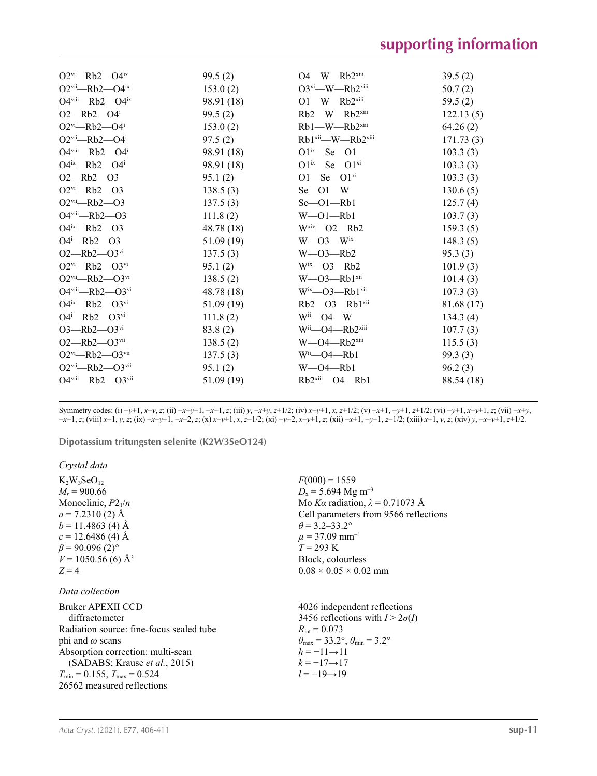| $O2^{vi}$ —Rb2—O4 <sup>ix</sup>                | 99.5(2)    | $O4$ —W—Rb $2^{xiii}$                     | 39.5(2)    |
|------------------------------------------------|------------|-------------------------------------------|------------|
| $O2$ <sup>vii</sup> —Rb2—O4 <sup>ix</sup>      | 153.0(2)   | $O3^{xi}$ -W-Rb2 $x$ iii                  | 50.7(2)    |
| $O4$ <sup>viii</sup> -Rb2- $O4^{ix}$           | 98.91 (18) | $O1$ —W—Rb $2^{xiii}$                     | 59.5(2)    |
| $O2$ —Rb $2$ —O4 <sup>i</sup>                  | 99.5(2)    | Rb2-W-Rb2xiii                             | 122.13(5)  |
| $O2^{vi}$ -Rb2- $O4^i$                         | 153.0(2)   | $Rb1$ —W— $Rb2$ <sup>xiii</sup>           | 64.26(2)   |
| $O2$ <sup>vii</sup> —Rb2—O4 <sup>i</sup>       | 97.5(2)    | Rb1 <sup>xii</sup> —W—Rb2 <sup>xiii</sup> | 171.73(3)  |
| $O4$ <sup>viii</sup> -Rb2- $O4^i$              | 98.91 (18) | $O1^{ix}$ —Se—O1                          | 103.3(3)   |
| $O4^{ix}$ —Rb2— $O4^{i}$                       | 98.91 (18) | $O1^{ix}$ —Se— $O1^{xi}$                  | 103.3(3)   |
| $O2 - Rb2 - O3$                                | 95.1(2)    | $O1 -$ Se $-O1$ <sup>xi</sup>             | 103.3(3)   |
| $O2$ <sup>vi</sup> -Rb2- $O3$                  | 138.5(3)   | $Se$ — $O1$ —W                            | 130.6(5)   |
| $O2$ <sup>vii</sup> —Rb2—O3                    | 137.5(3)   | $Se$ — $O1$ — $Rb1$                       | 125.7(4)   |
| $O4$ <sup>viii</sup> -Rb2- $O3$                | 111.8(2)   | $W$ — $O1$ — $Rb1$                        | 103.7(3)   |
| $O4^{ix}$ —Rb2—O3                              | 48.78 (18) | $Wxiv$ -02-Rb2                            | 159.3(5)   |
| $O4^i$ -Rb2- $O3$                              | 51.09(19)  | $W$ —O3— $W$ <sup>ix</sup>                | 148.3(5)   |
| $O2 - Rb2 - O3$ <sup>vi</sup>                  | 137.5(3)   | $W$ —O3—Rb2                               | 95.3(3)    |
| $O2^{vi}$ -Rb2- $O3^{vi}$                      | 95.1(2)    | $W^i$ <sup>x</sup> —O3—Rb2                | 101.9(3)   |
| $O2$ <sup>vii</sup> —Rb2— $O3$ <sup>vi</sup>   | 138.5(2)   | $W$ —O3—Rb $1$ <sup>xii</sup>             | 101.4(3)   |
| $O4$ <sup>viii</sup> -Rb2- $O3$ <sup>vi</sup>  | 48.78(18)  | $W^{ix}$ — $O3$ —Rb1 $xii$                | 107.3(3)   |
| $O4^{ix}$ —Rb2— $O3^{vi}$                      | 51.09(19)  | $Rb2$ — $O3$ — $Rb1$ <sup>xii</sup>       | 81.68 (17) |
| $O4^i$ -Rb2- $O3$ <sup>vi</sup>                | 111.8(2)   | $W^{\text{ii}}$ —O4—W                     | 134.3(4)   |
| $O3$ —Rb $2$ — $O3$ <sup>vi</sup>              | 83.8(2)    | $Wii$ -O4 --- $Rb2xiii$                   | 107.7(3)   |
| $O2 - Rb2 - O3$ <sup>vii</sup>                 | 138.5(2)   | $W$ —O4—Rb $2^{xiii}$                     | 115.5(3)   |
| $O2$ <sup>vi</sup> —Rb2— $O3$ <sup>vii</sup>   | 137.5(3)   | $W^i$ —O4—Rb1                             | 99.3(3)    |
| $O2$ <sup>vii</sup> —Rb2— $O3$ <sup>vii</sup>  | 95.1(2)    | $W$ —O4—Rb1                               | 96.2(3)    |
| $O4$ <sup>viii</sup> -Rb2- $O3$ <sup>vii</sup> | 51.09(19)  | $Rb2$ <sup>xiii</sup> —O4— $Rb1$          | 88.54 (18) |
|                                                |            |                                           |            |

Symmetry codes: (i)  $-y+1$ ,  $x-y$ , z; (ii)  $-x+y+1$ ,  $-x+1$ , z; (iii)  $y$ ,  $-x+y$ ,  $z+1/2$ ; (iv)  $x-y+1$ ,  $x$ ,  $z+1/2$ ; (v)  $-x+1$ ,  $z+1/2$ ; (vi)  $-y+1$ ,  $x-y+1$ ,  $z$ ; (vii)  $-x+y$ , -x+1, z; (viii) x-1, y, z; (ix) -x+y+1, -x+2, z; (x) x-y+1, x, z-1/2; (xi) -y+2, x-y+1, z; (xii) -x+1, -y+1, z-1/2; (xiii) x+1, y, z; (xiv) y, -x+y+1, z+1/2.

**Dipotassium tritungsten selenite (K2W3SeO124)** 

*Crystal data*

| $K_2W_3SeO_{12}$                         | $F(000) = 1559$                                       |
|------------------------------------------|-------------------------------------------------------|
| $M_r = 900.66$                           | $D_x = 5.694$ Mg m <sup>-3</sup>                      |
| Monoclinic, $P2_1/n$                     | Mo Ka radiation, $\lambda = 0.71073$ Å                |
| $a = 7.2310(2)$ Å                        | Cell parameters from 9566 reflections                 |
| $b = 11.4863$ (4) Å                      | $\theta$ = 3.2–33.2°                                  |
| $c = 12.6486(4)$ Å                       | $\mu$ = 37.09 mm <sup>-1</sup>                        |
| $\beta$ = 90.096 (2) <sup>o</sup>        | $T = 293 \text{ K}$                                   |
| $V = 1050.56$ (6) Å <sup>3</sup>         | Block, colourless                                     |
| $Z=4$                                    | $0.08 \times 0.05 \times 0.02$ mm                     |
| Data collection                          |                                                       |
| Bruker APEXII CCD                        | 4026 independent reflections                          |
| diffractometer                           | 3456 reflections with $I > 2\sigma(I)$                |
| Radiation source: fine-focus sealed tube | $R_{\text{int}} = 0.073$                              |
| phi and $\omega$ scans                   | $\theta_{\rm max}$ = 33.2°, $\theta_{\rm min}$ = 3.2° |
| Absorption correction: multi-scan        | $h = -11 \rightarrow 11$                              |
| (SADABS; Krause et al., 2015)            | $k = -17 \rightarrow 17$                              |
| $T_{\min}$ = 0.155, $T_{\max}$ = 0.524   | $l = -19 \rightarrow 19$                              |
| 26562 measured reflections               |                                                       |
|                                          |                                                       |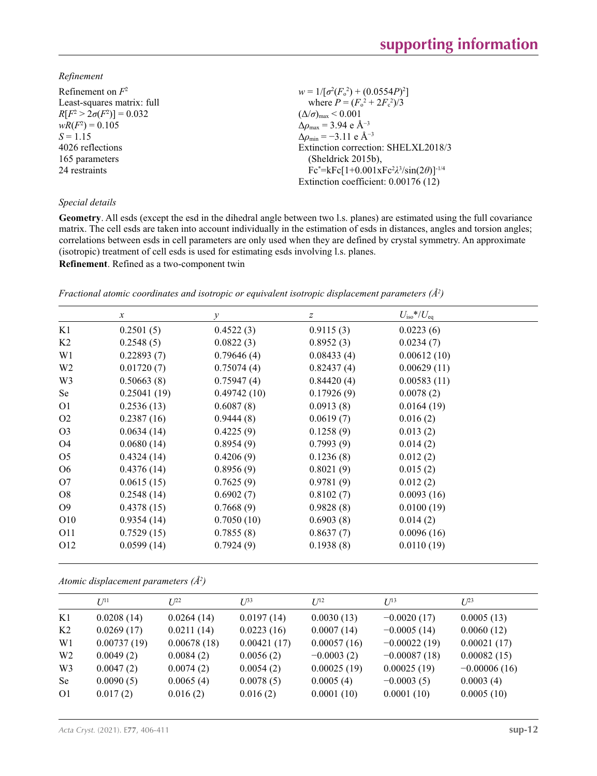*Refinement*

Refinement on *F* 2 Least-squares matrix: full  $R[F^2 > 2\sigma(F^2)] = 0.032$  $wR(F^2) = 0.105$  $S = 1.15$ 4026 reflections 165 parameters 24 restraints

## *Special details*

 $w = 1/[\sigma^2 (F_o^2) + (0.0554P)^2]$ where  $P = (F_o^2 + 2F_c^2)/3$  $(\Delta/\sigma)_{\text{max}}$  < 0.001 Δ*ρ*max = 3.94 e Å−3  $\Delta \rho_{\text{min}} = -3.11 \text{ e} \text{ Å}^{-3}$ Extinction correction: SHELXL2018/3 (Sheldrick 2015b), Fc\*=kFc[1+0.001xFc<sup>2</sup> *λ* 3 /sin(2*θ*)]-1/4 Extinction coefficient: 0.00176 (12)

**Geometry**. All esds (except the esd in the dihedral angle between two l.s. planes) are estimated using the full covariance matrix. The cell esds are taken into account individually in the estimation of esds in distances, angles and torsion angles; correlations between esds in cell parameters are only used when they are defined by crystal symmetry. An approximate (isotropic) treatment of cell esds is used for estimating esds involving l.s. planes.

**Refinement**. Refined as a two-component twin

| Fractional atomic coordinates and isotropic or equivalent isotropic displacement parameters $(\AA^2)$ |
|-------------------------------------------------------------------------------------------------------|
|-------------------------------------------------------------------------------------------------------|

|                 | $\mathcal{X}$ | $\mathcal{Y}$ | $\boldsymbol{Z}$ | $U_{\rm iso}$ */ $U_{\rm eq}$ |  |
|-----------------|---------------|---------------|------------------|-------------------------------|--|
| K1              | 0.2501(5)     | 0.4522(3)     | 0.9115(3)        | 0.0223(6)                     |  |
| K <sub>2</sub>  | 0.2548(5)     | 0.0822(3)     | 0.8952(3)        | 0.0234(7)                     |  |
| W1              | 0.22893(7)    | 0.79646(4)    | 0.08433(4)       | 0.00612(10)                   |  |
| W <sub>2</sub>  | 0.01720(7)    | 0.75074(4)    | 0.82437(4)       | 0.00629(11)                   |  |
| W <sub>3</sub>  | 0.50663(8)    | 0.75947(4)    | 0.84420(4)       | 0.00583(11)                   |  |
| Se              | 0.25041(19)   | 0.49742(10)   | 0.17926(9)       | 0.0078(2)                     |  |
| O <sub>1</sub>  | 0.2536(13)    | 0.6087(8)     | 0.0913(8)        | 0.0164(19)                    |  |
| O <sub>2</sub>  | 0.2387(16)    | 0.9444(8)     | 0.0619(7)        | 0.016(2)                      |  |
| O <sub>3</sub>  | 0.0634(14)    | 0.4225(9)     | 0.1258(9)        | 0.013(2)                      |  |
| O4              | 0.0680(14)    | 0.8954(9)     | 0.7993(9)        | 0.014(2)                      |  |
| O <sub>5</sub>  | 0.4324(14)    | 0.4206(9)     | 0.1236(8)        | 0.012(2)                      |  |
| O <sub>6</sub>  | 0.4376(14)    | 0.8956(9)     | 0.8021(9)        | 0.015(2)                      |  |
| O7              | 0.0615(15)    | 0.7625(9)     | 0.9781(9)        | 0.012(2)                      |  |
| O8              | 0.2548(14)    | 0.6902(7)     | 0.8102(7)        | 0.0093(16)                    |  |
| O <sub>9</sub>  | 0.4378(15)    | 0.7668(9)     | 0.9828(8)        | 0.0100(19)                    |  |
| O10             | 0.9354(14)    | 0.7050(10)    | 0.6903(8)        | 0.014(2)                      |  |
| O11             | 0.7529(15)    | 0.7855(8)     | 0.8637(7)        | 0.0096(16)                    |  |
| O <sub>12</sub> | 0.0599(14)    | 0.7924(9)     | 0.1938(8)        | 0.0110(19)                    |  |

*Atomic displacement parameters (Å<sup>2</sup> )*

|                | $I^{11}$    | $I^{22}$    | $I^{\beta 3}$ | $I^{12}$     | $I^{13}$       | $L^{23}$       |
|----------------|-------------|-------------|---------------|--------------|----------------|----------------|
| K1             | 0.0208(14)  | 0.0264(14)  | 0.0197(14)    | 0.0030(13)   | $-0.0020(17)$  | 0.0005(13)     |
| K <sub>2</sub> | 0.0269(17)  | 0.0211(14)  | 0.0223(16)    | 0.0007(14)   | $-0.0005(14)$  | 0.0060(12)     |
| W <sub>1</sub> | 0.00737(19) | 0.00678(18) | 0.00421(17)   | 0.00057(16)  | $-0.00022(19)$ | 0.00021(17)    |
| W <sub>2</sub> | 0.0049(2)   | 0.0084(2)   | 0.0056(2)     | $-0.0003(2)$ | $-0.00087(18)$ | 0.00082(15)    |
| W <sub>3</sub> | 0.0047(2)   | 0.0074(2)   | 0.0054(2)     | 0.00025(19)  | 0.00025(19)    | $-0.00006(16)$ |
| <b>Se</b>      | 0.0090(5)   | 0.0065(4)   | 0.0078(5)     | 0.0005(4)    | $-0.0003(5)$   | 0.0003(4)      |
| O <sub>1</sub> | 0.017(2)    | 0.016(2)    | 0.016(2)      | 0.0001(10)   | 0.0001(10)     | 0.0005(10)     |
|                |             |             |               |              |                |                |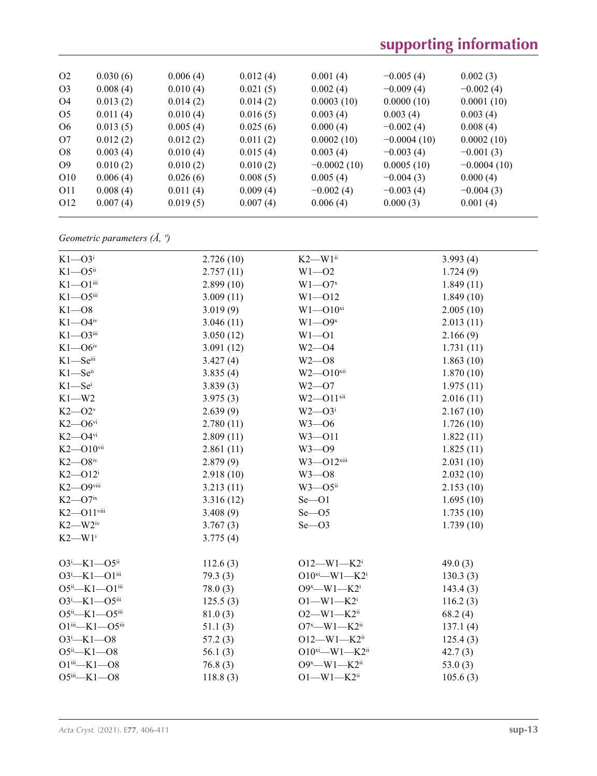| O <sub>2</sub>  | 0.030(6) | 0.006(4) | 0.012(4) | 0.001(4)      | $-0.005(4)$   | 0.002(3)      |
|-----------------|----------|----------|----------|---------------|---------------|---------------|
| O <sub>3</sub>  | 0.008(4) | 0.010(4) | 0.021(5) | 0.002(4)      | $-0.009(4)$   | $-0.002(4)$   |
| O4              | 0.013(2) | 0.014(2) | 0.014(2) | 0.0003(10)    | 0.0000(10)    | 0.0001(10)    |
| O <sub>5</sub>  | 0.011(4) | 0.010(4) | 0.016(5) | 0.003(4)      | 0.003(4)      | 0.003(4)      |
| O <sub>6</sub>  | 0.013(5) | 0.005(4) | 0.025(6) | 0.000(4)      | $-0.002(4)$   | 0.008(4)      |
| O7              | 0.012(2) | 0.012(2) | 0.011(2) | 0.0002(10)    | $-0.0004(10)$ | 0.0002(10)    |
| O <sub>8</sub>  | 0.003(4) | 0.010(4) | 0.015(4) | 0.003(4)      | $-0.003(4)$   | $-0.001(3)$   |
| O <sub>9</sub>  | 0.010(2) | 0.010(2) | 0.010(2) | $-0.0002(10)$ | 0.0005(10)    | $-0.0004(10)$ |
| O <sub>10</sub> | 0.006(4) | 0.026(6) | 0.008(5) | 0.005(4)      | $-0.004(3)$   | 0.000(4)      |
| O11             | 0.008(4) | 0.011(4) | 0.009(4) | $-0.002(4)$   | $-0.003(4)$   | $-0.004(3)$   |
| O <sub>12</sub> | 0.007(4) | 0.019(5) | 0.007(4) | 0.006(4)      | 0.000(3)      | 0.001(4)      |
|                 |          |          |          |               |               |               |

*Geometric parameters (Å, º)*

| $K1 - O3i$                 | 2.726(10)  | $K2-W1$ <sup>ii</sup>          | 3.993(4)   |
|----------------------------|------------|--------------------------------|------------|
| $K1 - O5$ <sup>ii</sup>    | 2.757(11)  | $W1 - 02$                      | 1.724(9)   |
| $K1 - O1$ iii              | 2.899(10)  | $W1 - O7x$                     | 1.849(11)  |
| $K1 - 05$ iii              | 3.009(11)  | $W1 - 012$                     | 1.849(10)  |
| $K1 - 08$                  | 3.019(9)   | $W1 - O10^{xi}$                | 2.005(10)  |
| $K1 - O4$ iv               | 3.046(11)  | $W1 - O9x$                     | 2.013(11)  |
| $K1 - O3$ <sup>iii</sup>   | 3.050(12)  | $W1 - 01$                      | 2.166(9)   |
| $K1 - O6$ iv               | 3.091(12)  | $W2 - 04$                      | 1.731(11)  |
| K1-Seiii                   | 3.427(4)   | $W2 - 08$                      | 1.863(10)  |
| $K1$ —Se $^{ii}$           | 3.835(4)   | $W2 - 010$ <sup>xii</sup>      | 1.870(10)  |
| $K1 - Sei$                 | 3.839(3)   | $W2 - 07$                      | 1.975(11)  |
| $K1-W2$                    | 3.975(3)   | $W2 - 011$ <sup>xii</sup>      | 2.016(11)  |
| $K2 - O2v$                 | 2.639(9)   | $W2 - O3$ <sup>i</sup>         | 2.167(10)  |
| $K2$ — $O6$ <sup>vi</sup>  | 2.780(11)  | $W3 - 06$                      | 1.726(10)  |
| $K2$ —O4 $v$ i             | 2.809(11)  | $W3 - 011$                     | 1.822(11)  |
| $K2 - 010$ <sup>vii</sup>  | 2.861(11)  | $W3 - O9$                      | 1.825(11)  |
| $K2$ — $O8$ <sup>iv</sup>  | 2.879(9)   | $W3 - 012$ <sup>xiii</sup>     | 2.031(10)  |
| $K2$ -O12 <sup>i</sup>     | 2.918(10)  | $W3 - 08$                      | 2.032(10)  |
| K2-O9viii                  | 3.213(11)  | $W3$ — $O5$ <sup>ii</sup>      | 2.153(10)  |
| $K2$ —O7 $i$ x             | 3.316(12)  | $Se$ -O1                       | 1.695(10)  |
| $K2 - 011$ <sup>viii</sup> | 3.408(9)   | $Se$ -O5                       | 1.735(10)  |
| $K2$ —W $2^{\rm iv}$       | 3.767(3)   | $Se$ -O3                       | 1.739(10)  |
| $K2-W1$ <sup>i</sup>       | 3.775(4)   |                                |            |
| $O3^i$ -K1- $O5^{ii}$      | 112.6(3)   | $O12 - W1 - K2$                | 49.0(3)    |
| $O3^i$ —K1—O1 $i$ ii       | 79.3(3)    | $O10^{xi}$ —W1—K2 <sup>i</sup> | 130.3(3)   |
| $O5^{ii} - K1 - O1^{iii}$  | 78.0(3)    | $O9^x$ —W1—K2 <sup>i</sup>     | 143.4(3)   |
| $O3^i$ -K1- $O5^{iii}$     | 125.5(3)   | $O1 - W1 - K2$                 | 116.2(3)   |
| $O5^{ii} - K1 - O5^{iii}$  | 81.0(3)    | $O2 - W1 - K2$ <sup>ii</sup>   | 68.2(4)    |
| $O1^{iii}$ -K1- $O5^{iii}$ | 51.1(3)    | $O7^x$ —W1—K2ii                | 137.1(4)   |
| $O3^i$ -K1- $O8$           | 57.2(3)    | $O12 - W1 - K2$ <sup>ii</sup>  | 125.4(3)   |
| $O5^{ii}$ -K1- $O8$        | 56.1 $(3)$ | $O10^{xi}$ —W1—K2ii            | 42.7(3)    |
| $O1^{iii}$ -K1- $O8$       | 76.8(3)    | O9 <sup>x</sup> -W1-K2ii       | 53.0 $(3)$ |
| $O5^{iii}$ -K1- $O8$       | 118.8(3)   | $O1 - W1 - K2$ <sup>ii</sup>   | 105.6(3)   |
|                            |            |                                |            |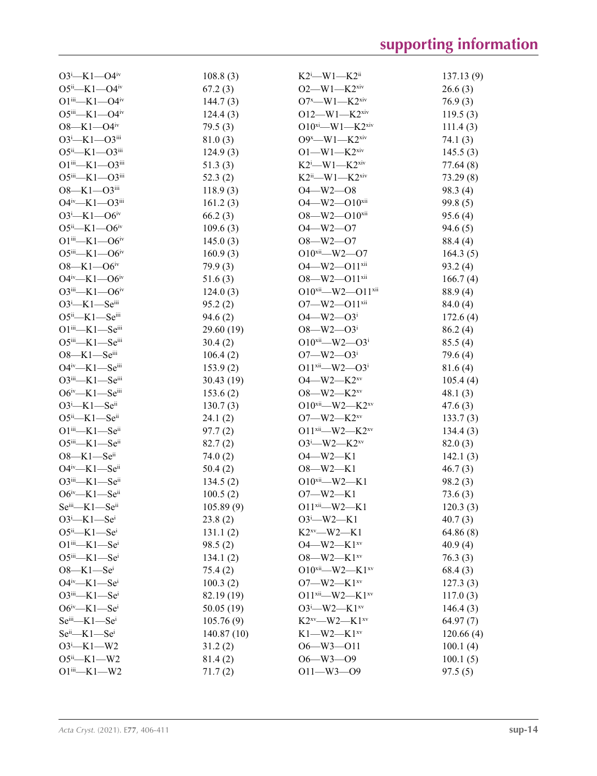| $O3^i$ -K1- $O4^i$                        | 108.8(3)   | $K2^i$ —W1—K2 <sup>ii</sup>             | 137.13(9) |
|-------------------------------------------|------------|-----------------------------------------|-----------|
| $O5^{ii}$ —K1—O4 <sup>iv</sup>            | 67.2(3)    | $O2$ —W1—K2 <sup>xiv</sup>              | 26.6(3)   |
| $O1^{iii}$ — $K1$ — $O4^{iv}$             | 144.7(3)   | $O7^x$ —W1—K2 <sup>xiv</sup>            | 76.9(3)   |
| $O5^{iii} - K1 - O4^{iv}$                 | 124.4(3)   | $O12$ —W1—K2 <sup>xiv</sup>             | 119.5(3)  |
| $O8 - K1 - O4$ <sup>iv</sup>              | 79.5(3)    | $O10^{xi}$ —W1—K2 <sup>xiv</sup>        | 111.4(3)  |
| $O3^i$ -K1- $O3^{iii}$                    | 81.0(3)    | $O9^x$ —W1—K2 <sup>xiv</sup>            | 74.1(3)   |
| $O5^{ii}$ —K1— $O3^{iii}$                 | 124.9(3)   | $O1$ —W $1$ —K $2^{xiv}$                | 145.5(3)  |
| $O1$ iii—K1— $O3$ iii                     | 51.3(3)    | $K2^i$ —W1—K2 <sup>xiv</sup>            | 77.64 (8) |
| O5iii—K1—O3iii                            | 52.3(2)    | $K2^{ii}$ —W1—K2 <sup>xiv</sup>         | 73.29(8)  |
| $O8 - K1 - O3$ iii                        | 118.9(3)   | $O4 - W2 - O8$                          | 98.3 (4)  |
| O4iv-K1-O3iii                             | 161.2(3)   | $O4 - W2 - O10$ <sup>xii</sup>          | 99.8(5)   |
| $O3^i$ -K1- $O6^{iv}$                     | 66.2(3)    | $O8 - W2 - O10$ <sup>xii</sup>          | 95.6(4)   |
| $O5^{ii}$ —K1— $O6^{iv}$                  | 109.6(3)   | $O4 - W2 - O7$                          | 94.6(5)   |
| $O1^{iii}$ — $K1$ — $O6^{iv}$             | 145.0(3)   | $O8 - W2 - O7$                          | 88.4 (4)  |
| $O5^{iii} - K1 - O6^{iv}$                 | 160.9(3)   | $O10^{xii}$ - W2 - O7                   | 164.3(5)  |
| $O8 - K1 - O6$ iv                         | 79.9(3)    | O4-W2-O11xii                            | 93.2(4)   |
| $O4^{iv}$ —K1— $O6^{iv}$                  | 51.6(3)    | $O8$ —W2— $O11$ <sup>xii</sup>          | 166.7(4)  |
| $O3^{iii} - K1 - O6^{iv}$                 | 124.0(3)   | $O10^{xii}$ - W2 - $O11^{xii}$          | 88.9(4)   |
| $O3^i$ —K1—Seiii                          | 95.2(2)    | $O7 - W2 - O11$ <sup>xii</sup>          | 84.0(4)   |
| $O5ii$ -K1- $Seiii$                       | 94.6(2)    | $O4 - W2 - O3$ <sup>i</sup>             | 172.6(4)  |
| $O1$ <sup>iii</sup> —K1—Se <sup>iii</sup> | 29.60(19)  | $O8 - W2 - O3$ <sup>i</sup>             | 86.2(4)   |
| $O5$ iii—K1—Seiii                         | 30.4(2)    | $O10^{xii}$ - W2 - $O3^i$               | 85.5(4)   |
| $O8-K1-Se^{iii}$                          | 106.4(2)   | $O7 - W2 - O3$                          | 79.6(4)   |
| O4iv-K1-Seiii                             | 153.9(2)   | $O11^{xii}$ —W2— $O3^i$                 | 81.6(4)   |
| $O3iii$ -K1- $Seiii$                      | 30.43 (19) | $O4$ —W2—K2 <sup>xv</sup>               | 105.4(4)  |
| $O6^{\text{iv}}$ —K1—Seiii                | 153.6(2)   | $O8$ —W2—K2 <sup>xv</sup>               | 48.1(3)   |
| $O3^i$ -K1-Seii                           | 130.7(3)   | $O10^{xii}$ —W2—K2 <sup>xv</sup>        | 47.6(3)   |
| $O5^{ii}$ —K1—Se <sup>ii</sup>            | 24.1(2)    | $O7 - W2 - K2$ <sub>xy</sub>            | 133.7(3)  |
| $O1$ <sup>iii</sup> —K1—Se <sup>ii</sup>  | 97.7(2)    | $O11^{xii}$ —W2—K2 <sup>xv</sup>        | 134.4(3)  |
| $O5$ <sup>iii</sup> —K1—Se <sup>ii</sup>  | 82.7(2)    | $O3^i$ —W2—K2 <sup>xv</sup>             | 82.0(3)   |
| $O8 - K1 - Seii$                          | 74.0 $(2)$ | $O4 - W2 - K1$                          | 142.1(3)  |
| $O4^{iv}$ —K1—Seii                        | 50.4(2)    | $O8 - W2 - K1$                          | 46.7(3)   |
| $O3iii$ -K1-Se <sup>ii</sup>              | 134.5(2)   | $O10^{xii}$ —W2—K1                      | 98.2(3)   |
| $O6^{iv}$ —K1—Seii                        | 100.5(2)   | $O7 - W2 - K1$                          | 73.6(3)   |
| Seiii-K1-Seii                             | 105.89(9)  | $O11^{xii}$ —W2—K1                      | 120.3(3)  |
| $O3^i$ -K1-Se <sup>i</sup>                | 23.8(2)    | $O3^i$ —W2—K1                           | 40.7(3)   |
| $O5^{ii}$ —K1—Se <sup>i</sup>             | 131.1(2)   | $K2xy$ -W2-K1                           | 64.86(8)  |
| $O1$ <sup>iii</sup> —K1—Se <sup>i</sup>   | 98.5(2)    | O4-W2-K1xv                              | 40.9(4)   |
| $O5$ iii—K1—Sei                           | 134.1(2)   | O8-W2-K1xv                              | 76.3(3)   |
| $O8-K1-Sei$                               | 75.4(2)    | O10 <sup>xii</sup> -W2-K1 <sup>xv</sup> | 68.4(3)   |
| $O4^{iv}$ —K1—Sei                         | 100.3(2)   | $O7 - W2 - K1$ <sub>xy</sub>            | 127.3(3)  |
| $O3$ iii—K1—Se <sup>i</sup>               | 82.19 (19) | $O11^{xii}$ W2 – K1 <sup>xv</sup>       | 117.0(3)  |
| $O6^{iv}$ —K1—Se <sup>i</sup>             | 50.05(19)  | $O3^i$ —W2—K1 <sup>xv</sup>             | 146.4(3)  |
| Seii—K1—Sei                               | 105.76(9)  | $K2^{xy}$ —W2—K1 <sup>xv</sup>          | 64.97(7)  |
| $Seii$ -K1- $Sei$                         | 140.87(10) | $K1-W2-K1xy$                            | 120.66(4) |
| $O3^i$ -K1-W2                             | 31.2(2)    | $O6 - W3 - O11$                         | 100.1(4)  |
| $O5^{ii}$ -K1-W2                          | 81.4(2)    | $O6 - W3 - O9$                          | 100.1(5)  |
| $O1$ iii— $K1$ —W2                        | 71.7(2)    | $O11 - W3 - O9$                         | 97.5(5)   |
|                                           |            |                                         |           |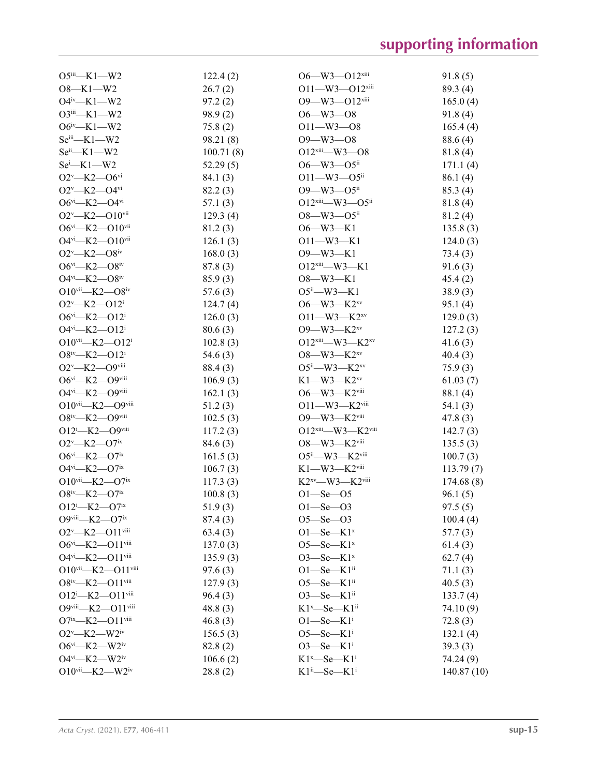| $O5$ <sup>iii</sup> —K1—W2                      | 122.4(2)   | $O6 - W3 - O12$ <sup>xiii</sup>               | 91.8(5)    |
|-------------------------------------------------|------------|-----------------------------------------------|------------|
| $O8-K1-W2$                                      | 26.7(2)    | $O11 - W3 - O12$ <sup>xiii</sup>              | 89.3 (4)   |
| $O4^{iv}$ —K1—W2                                | 97.2(2)    | $O9 - W3 - O12$ <sup>xiii</sup>               | 165.0(4)   |
| $O3$ iii—K1—W2                                  | 98.9(2)    | $O6 - W3 - O8$                                | 91.8(4)    |
| $O6^{iv}$ -K1-W2                                | 75.8(2)    | $O11 - W3 - O8$                               | 165.4(4)   |
| $Seiii$ -K1-W2                                  | 98.21 (8)  | $O9 - W3 - O8$                                | 88.6(4)    |
| $Seii$ -K1-W2                                   | 100.71(8)  | $O12$ <sup>xiii</sup> —W3—O8                  | 81.8(4)    |
| $Sei$ -K1-W2                                    | 52.29(5)   | $O6 - W3 - O5$ <sup>ii</sup>                  | 171.1(4)   |
| $O2^v$ —K2—O6 <sup>vi</sup>                     | 84.1 (3)   | $O11 - W3 - O5$ <sup>ii</sup>                 | 86.1(4)    |
| $O2^v$ —K2—O4 $v$ i                             | 82.2(3)    | $O9 - W3 - O5$ <sup>ii</sup>                  | 85.3(4)    |
| $O6^{vi}$ - K2 - $O4^{vi}$                      | 57.1(3)    | $O12$ <sup>xiii</sup> —W3— $O5$ <sup>ii</sup> | 81.8(4)    |
| $O2^v$ —K2— $O10^{vii}$                         | 129.3(4)   | $O8 - W3 - O5$ <sup>ii</sup>                  | 81.2(4)    |
| $O6^{vi}$ - K2 - $O10^{vii}$                    | 81.2(3)    | $O6 - W3 - K1$                                | 135.8(3)   |
| $O4$ <sup>vi</sup> —K2— $O10$ <sup>vii</sup>    | 126.1(3)   | $O11 - W3 - K1$                               | 124.0(3)   |
| $O2^v$ —K2—O8 <sup>iv</sup>                     | 168.0(3)   | $O9 - W3 - K1$                                | 73.4(3)    |
| $O6^{vi}$ —K2—O8 <sup>iv</sup>                  | 87.8(3)    | $O12$ <sup>xiii</sup> —W3—K1                  | 91.6(3)    |
| $O4^{vi}$ —K2— $O8^{iv}$                        | 85.9(3)    | $O8 - W3 - K1$                                | 45.4(2)    |
| $O10^{vii}$ - K2 - $O8^{iv}$                    | 57.6(3)    | O5ii—W3—K1                                    | 38.9(3)    |
| $O2^v$ —K2—O12 <sup>i</sup>                     | 124.7(4)   | $O6 - W3 - K2^{xy}$                           | 95.1(4)    |
| $O6^{vi}$ —K2—O12 <sup>i</sup>                  | 126.0(3)   | $O11 - W3 - K2xy$                             | 129.0(3)   |
| $O4$ <sup>vi</sup> -K2- $O12$ <sup>i</sup>      | 80.6(3)    | $O9 - W3 - K2^{xv}$                           | 127.2(3)   |
| $O10$ <sup>vii</sup> -K2- $O12$ <sup>i</sup>    | 102.8(3)   | $O12$ <sup>xiii</sup> —W3—K2 <sup>xv</sup>    | 41.6(3)    |
| $O8^{iv}$ —K2—O12 <sup>i</sup>                  | 54.6 $(3)$ | $O8$ —W3—K2 <sup>xv</sup>                     | 40.4(3)    |
| O2v-K2-O9viii                                   | 88.4 (3)   | $O5^{ii}$ —W3—K2 <sup>xv</sup>                | 75.9(3)    |
| O6vi-K2-O9viii                                  | 106.9(3)   | $K1$ —W3—K2 <sup>xv</sup>                     | 61.03(7)   |
| O4vi-K2-O9viii                                  | 162.1(3)   | $O6 - W3 - K2$ <sup>viii</sup>                | 88.1(4)    |
| $O10$ <sup>vii</sup> -K2-O9 <sup>viii</sup>     | 51.2(3)    | $O11 - W3 - K2$ <sup>viii</sup>               | 54.1(3)    |
| O8iv-K2-O9viii                                  | 102.5(3)   | O9-W3-K2viii                                  | 47.8(3)    |
| $O12^{\text{i}}$ -K2- $O9^{\text{viii}}$        | 117.2(3)   | $O12$ <sup>xiii</sup> —W3—K2 <sup>viii</sup>  | 142.7(3)   |
| $O2^v$ —K2—O7 <sup>ix</sup>                     | 84.6 (3)   | $O8$ —W3—K2viii                               | 135.5(3)   |
| $O6^{vi}$ —K2—O7 <sup>ix</sup>                  | 161.5(3)   | $O5^{ii}$ —W3—K2 <sup>viii</sup>              | 100.7(3)   |
| $O4$ <sup>vi</sup> —K2—O7 <sup>ix</sup>         | 106.7(3)   | $K1$ —W3—K2viii                               | 113.79(7)  |
| $O10$ <sup>vii</sup> —K2—O7 <sup>ix</sup>       | 117.3(3)   | $K2^{xy}$ —W3—K2viii                          | 174.68(8)  |
| $O8^{iv}$ —K2—O7 <sup>ix</sup>                  | 100.8(3)   | $O1 - Se - O5$                                | 96.1(5)    |
| $O12^{\text{i}}$ -K2- $O7^{\text{ix}}$          | 51.9(3)    | $O1 - Se - O3$                                | 97.5(5)    |
| $O9$ <sup>viii</sup> —K2—O7 <sup>ix</sup>       | 87.4(3)    | $O5 - Se - O3$                                | 100.4(4)   |
| O2v-K2-O11viii                                  | 63.4(3)    | $O1$ -Se-K $1^x$                              | 57.7(3)    |
| O6vi-K2-O11viii                                 | 137.0(3)   | $O5$ —Se—K $1^x$                              | 61.4(3)    |
| O4vi-K2-O11viii                                 | 135.9(3)   | $O3$ —Se—K $1^x$                              | 62.7(4)    |
| $O10$ <sup>vii</sup> —K2— $O11$ <sup>viii</sup> | 97.6(3)    | $O1 -$ Se $-K1$ <sup>ii</sup>                 | 71.1(3)    |
| 08iv-K2-011viii                                 | 127.9(3)   | $O5 - Se - K1$ <sup>ii</sup>                  | 40.5(3)    |
| 012 <sup>i</sup> -K2-011viii                    | 96.4(3)    | $O3$ —Se—K $1ii$                              | 133.7(4)   |
| 09viii-K2-011viii                               | 48.8(3)    | $K1^x$ —Se—K $1^{ii}$                         | 74.10 (9)  |
| $O7^{ix}$ —K2—O11viii                           | 46.8(3)    | $O1$ —Se—K $1i$                               | 72.8(3)    |
| $O2^v$ —K2—W2iv                                 | 156.5(3)   | $O5$ —Se—K $1^{\text{i}}$                     | 132.1(4)   |
| O6vi-K2-W2iv                                    | 82.8(2)    | $O3$ -Se-K $1i$                               | 39.3(3)    |
| $O4^{vi}$ —K2—W2iv                              | 106.6(2)   | $K1^x$ —Se— $K1^i$                            | 74.24 (9)  |
| $O10^{vii}$ - K2 - W2iv                         | 28.8(2)    | $K1^{ii}$ -Se-K $1^i$                         | 140.87(10) |
|                                                 |            |                                               |            |